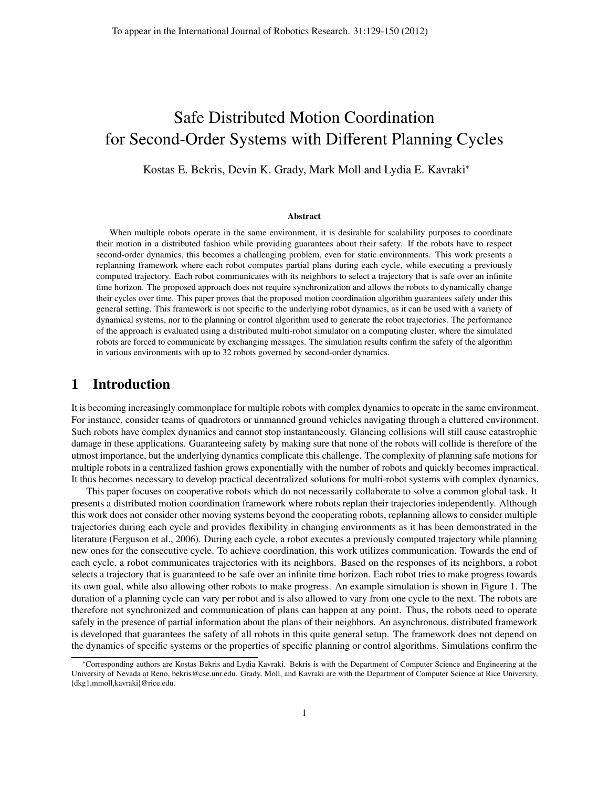# Safe Distributed Motion Coordination for Second-Order Systems with Different Planning Cycles

Kostas E. Bekris, Devin K. Grady, Mark Moll and Lydia E. Kavraki<sup>∗</sup>

#### Abstract

When multiple robots operate in the same environment, it is desirable for scalability purposes to coordinate their motion in a distributed fashion while providing guarantees about their safety. If the robots have to respect second-order dynamics, this becomes a challenging problem, even for static environments. This work presents a replanning framework where each robot computes partial plans during each cycle, while executing a previously computed trajectory. Each robot communicates with its neighbors to select a trajectory that is safe over an infinite time horizon. The proposed approach does not require synchronization and allows the robots to dynamically change their cycles over time. This paper proves that the proposed motion coordination algorithm guarantees safety under this general setting. This framework is not specific to the underlying robot dynamics, as it can be used with a variety of dynamical systems, nor to the planning or control algorithm used to generate the robot trajectories. The performance of the approach is evaluated using a distributed multi-robot simulator on a computing cluster, where the simulated robots are forced to communicate by exchanging messages. The simulation results confirm the safety of the algorithm in various environments with up to 32 robots governed by second-order dynamics.

# 1 Introduction

It is becoming increasingly commonplace for multiple robots with complex dynamics to operate in the same environment. For instance, consider teams of quadrotors or unmanned ground vehicles navigating through a cluttered environment. Such robots have complex dynamics and cannot stop instantaneously. Glancing collisions will still cause catastrophic damage in these applications. Guaranteeing safety by making sure that none of the robots will collide is therefore of the utmost importance, but the underlying dynamics complicate this challenge. The complexity of planning safe motions for multiple robots in a centralized fashion grows exponentially with the number of robots and quickly becomes impractical. It thus becomes necessary to develop practical decentralized solutions for multi-robot systems with complex dynamics.

This paper focuses on cooperative robots which do not necessarily collaborate to solve a common global task. It presents a distributed motion coordination framework where robots replan their trajectories independently. Although this work does not consider other moving systems beyond the cooperating robots, replanning allows to consider multiple trajectories during each cycle and provides flexibility in changing environments as it has been demonstrated in the literature (Ferguson et al., 2006). During each cycle, a robot executes a previously computed trajectory while planning new ones for the consecutive cycle. To achieve coordination, this work utilizes communication. Towards the end of each cycle, a robot communicates trajectories with its neighbors. Based on the responses of its neighbors, a robot selects a trajectory that is guaranteed to be safe over an infinite time horizon. Each robot tries to make progress towards its own goal, while also allowing other robots to make progress. An example simulation is shown in Figure 1. The duration of a planning cycle can vary per robot and is also allowed to vary from one cycle to the next. The robots are therefore not synchronized and communication of plans can happen at any point. Thus, the robots need to operate safely in the presence of partial information about the plans of their neighbors. An asynchronous, distributed framework is developed that guarantees the safety of all robots in this quite general setup. The framework does not depend on the dynamics of specific systems or the properties of specific planning or control algorithms. Simulations confirm the

<sup>∗</sup>Corresponding authors are Kostas Bekris and Lydia Kavraki. Bekris is with the Department of Computer Science and Engineering at the University of Nevada at Reno, bekris@cse.unr.edu. Grady, Moll, and Kavraki are with the Department of Computer Science at Rice University, {dkg1,mmoll,kavraki}@rice.edu.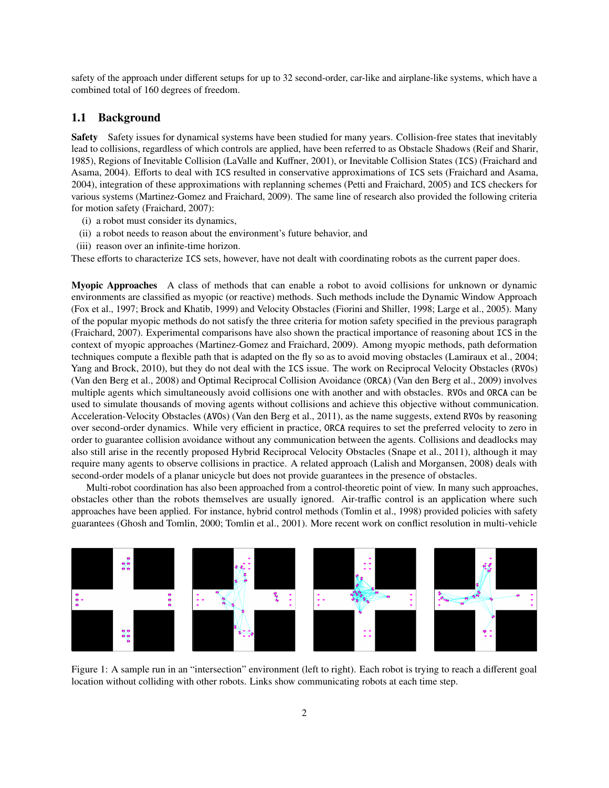safety of the approach under different setups for up to 32 second-order, car-like and airplane-like systems, which have a combined total of 160 degrees of freedom.

## 1.1 Background

Safety Safety issues for dynamical systems have been studied for many years. Collision-free states that inevitably lead to collisions, regardless of which controls are applied, have been referred to as Obstacle Shadows (Reif and Sharir, 1985), Regions of Inevitable Collision (LaValle and Kuffner, 2001), or Inevitable Collision States (ICS) (Fraichard and Asama, 2004). Efforts to deal with ICS resulted in conservative approximations of ICS sets (Fraichard and Asama, 2004), integration of these approximations with replanning schemes (Petti and Fraichard, 2005) and ICS checkers for various systems (Martinez-Gomez and Fraichard, 2009). The same line of research also provided the following criteria for motion safety (Fraichard, 2007):

- (i) a robot must consider its dynamics,
- (ii) a robot needs to reason about the environment's future behavior, and
- (iii) reason over an infinite-time horizon.

These efforts to characterize ICS sets, however, have not dealt with coordinating robots as the current paper does.

Myopic Approaches A class of methods that can enable a robot to avoid collisions for unknown or dynamic environments are classified as myopic (or reactive) methods. Such methods include the Dynamic Window Approach (Fox et al., 1997; Brock and Khatib, 1999) and Velocity Obstacles (Fiorini and Shiller, 1998; Large et al., 2005). Many of the popular myopic methods do not satisfy the three criteria for motion safety specified in the previous paragraph (Fraichard, 2007). Experimental comparisons have also shown the practical importance of reasoning about ICS in the context of myopic approaches (Martinez-Gomez and Fraichard, 2009). Among myopic methods, path deformation techniques compute a flexible path that is adapted on the fly so as to avoid moving obstacles (Lamiraux et al., 2004; Yang and Brock, 2010), but they do not deal with the ICS issue. The work on Reciprocal Velocity Obstacles (RVOs) (Van den Berg et al., 2008) and Optimal Reciprocal Collision Avoidance (ORCA) (Van den Berg et al., 2009) involves multiple agents which simultaneously avoid collisions one with another and with obstacles. RVOs and ORCA can be used to simulate thousands of moving agents without collisions and achieve this objective without communication. Acceleration-Velocity Obstacles (AVOs) (Van den Berg et al., 2011), as the name suggests, extend RVOs by reasoning over second-order dynamics. While very efficient in practice, ORCA requires to set the preferred velocity to zero in order to guarantee collision avoidance without any communication between the agents. Collisions and deadlocks may also still arise in the recently proposed Hybrid Reciprocal Velocity Obstacles (Snape et al., 2011), although it may require many agents to observe collisions in practice. A related approach (Lalish and Morgansen, 2008) deals with second-order models of a planar unicycle but does not provide guarantees in the presence of obstacles.

Multi-robot coordination has also been approached from a control-theoretic point of view. In many such approaches, obstacles other than the robots themselves are usually ignored. Air-traffic control is an application where such approaches have been applied. For instance, hybrid control methods (Tomlin et al., 1998) provided policies with safety guarantees (Ghosh and Tomlin, 2000; Tomlin et al., 2001). More recent work on conflict resolution in multi-vehicle



Figure 1: A sample run in an "intersection" environment (left to right). Each robot is trying to reach a different goal location without colliding with other robots. Links show communicating robots at each time step.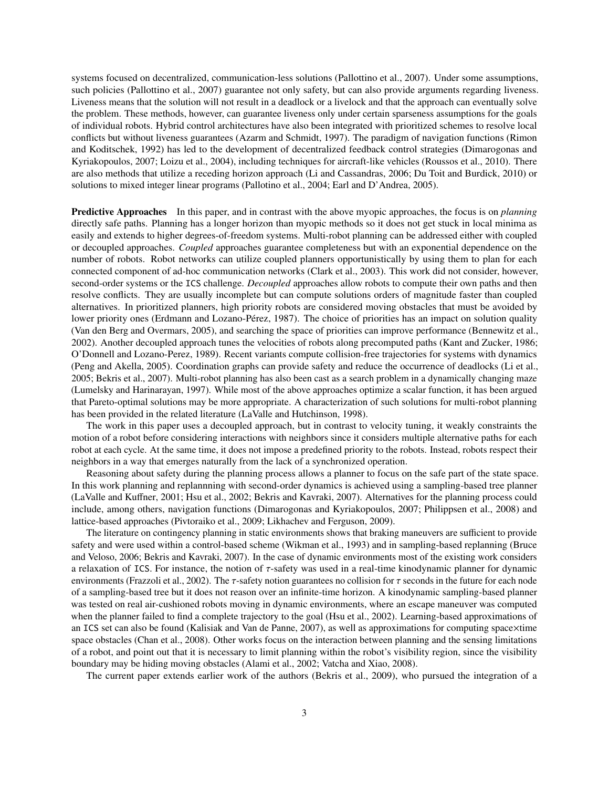systems focused on decentralized, communication-less solutions (Pallottino et al., 2007). Under some assumptions, such policies (Pallottino et al., 2007) guarantee not only safety, but can also provide arguments regarding liveness. Liveness means that the solution will not result in a deadlock or a livelock and that the approach can eventually solve the problem. These methods, however, can guarantee liveness only under certain sparseness assumptions for the goals of individual robots. Hybrid control architectures have also been integrated with prioritized schemes to resolve local conflicts but without liveness guarantees (Azarm and Schmidt, 1997). The paradigm of navigation functions (Rimon and Koditschek, 1992) has led to the development of decentralized feedback control strategies (Dimarogonas and Kyriakopoulos, 2007; Loizu et al., 2004), including techniques for aircraft-like vehicles (Roussos et al., 2010). There are also methods that utilize a receding horizon approach (Li and Cassandras, 2006; Du Toit and Burdick, 2010) or solutions to mixed integer linear programs (Pallotino et al., 2004; Earl and D'Andrea, 2005).

Predictive Approaches In this paper, and in contrast with the above myopic approaches, the focus is on *planning* directly safe paths. Planning has a longer horizon than myopic methods so it does not get stuck in local minima as easily and extends to higher degrees-of-freedom systems. Multi-robot planning can be addressed either with coupled or decoupled approaches. *Coupled* approaches guarantee completeness but with an exponential dependence on the number of robots. Robot networks can utilize coupled planners opportunistically by using them to plan for each connected component of ad-hoc communication networks (Clark et al., 2003). This work did not consider, however, second-order systems or the ICS challenge. *Decoupled* approaches allow robots to compute their own paths and then resolve conflicts. They are usually incomplete but can compute solutions orders of magnitude faster than coupled alternatives. In prioritized planners, high priority robots are considered moving obstacles that must be avoided by lower priority ones (Erdmann and Lozano-Pérez, 1987). The choice of priorities has an impact on solution quality (Van den Berg and Overmars, 2005), and searching the space of priorities can improve performance (Bennewitz et al., 2002). Another decoupled approach tunes the velocities of robots along precomputed paths (Kant and Zucker, 1986; O'Donnell and Lozano-Perez, 1989). Recent variants compute collision-free trajectories for systems with dynamics (Peng and Akella, 2005). Coordination graphs can provide safety and reduce the occurrence of deadlocks (Li et al., 2005; Bekris et al., 2007). Multi-robot planning has also been cast as a search problem in a dynamically changing maze (Lumelsky and Harinarayan, 1997). While most of the above approaches optimize a scalar function, it has been argued that Pareto-optimal solutions may be more appropriate. A characterization of such solutions for multi-robot planning has been provided in the related literature (LaValle and Hutchinson, 1998).

The work in this paper uses a decoupled approach, but in contrast to velocity tuning, it weakly constraints the motion of a robot before considering interactions with neighbors since it considers multiple alternative paths for each robot at each cycle. At the same time, it does not impose a predefined priority to the robots. Instead, robots respect their neighbors in a way that emerges naturally from the lack of a synchronized operation.

Reasoning about safety during the planning process allows a planner to focus on the safe part of the state space. In this work planning and replannning with second-order dynamics is achieved using a sampling-based tree planner (LaValle and Kuffner, 2001; Hsu et al., 2002; Bekris and Kavraki, 2007). Alternatives for the planning process could include, among others, navigation functions (Dimarogonas and Kyriakopoulos, 2007; Philippsen et al., 2008) and lattice-based approaches (Pivtoraiko et al., 2009; Likhachev and Ferguson, 2009).

The literature on contingency planning in static environments shows that braking maneuvers are sufficient to provide safety and were used within a control-based scheme (Wikman et al., 1993) and in sampling-based replanning (Bruce and Veloso, 2006; Bekris and Kavraki, 2007). In the case of dynamic environments most of the existing work considers a relaxation of ICS. For instance, the notion of τ-safety was used in a real-time kinodynamic planner for dynamic environments (Frazzoli et al., 2002). The  $\tau$ -safety notion guarantees no collision for  $\tau$  seconds in the future for each node of a sampling-based tree but it does not reason over an infinite-time horizon. A kinodynamic sampling-based planner was tested on real air-cushioned robots moving in dynamic environments, where an escape maneuver was computed when the planner failed to find a complete trajectory to the goal (Hsu et al., 2002). Learning-based approximations of an ICS set can also be found (Kalisiak and Van de Panne, 2007), as well as approximations for computing space×time space obstacles (Chan et al., 2008). Other works focus on the interaction between planning and the sensing limitations of a robot, and point out that it is necessary to limit planning within the robot's visibility region, since the visibility boundary may be hiding moving obstacles (Alami et al., 2002; Vatcha and Xiao, 2008).

The current paper extends earlier work of the authors (Bekris et al., 2009), who pursued the integration of a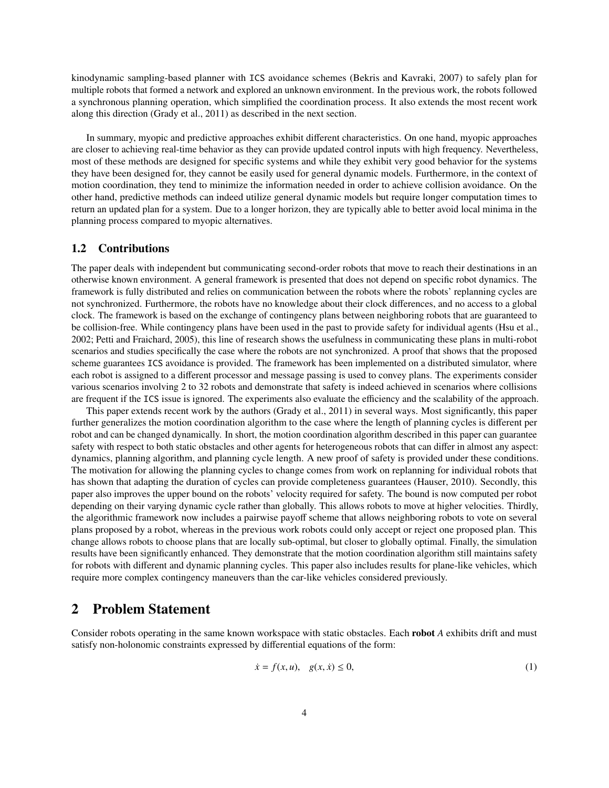kinodynamic sampling-based planner with ICS avoidance schemes (Bekris and Kavraki, 2007) to safely plan for multiple robots that formed a network and explored an unknown environment. In the previous work, the robots followed a synchronous planning operation, which simplified the coordination process. It also extends the most recent work along this direction (Grady et al., 2011) as described in the next section.

In summary, myopic and predictive approaches exhibit different characteristics. On one hand, myopic approaches are closer to achieving real-time behavior as they can provide updated control inputs with high frequency. Nevertheless, most of these methods are designed for specific systems and while they exhibit very good behavior for the systems they have been designed for, they cannot be easily used for general dynamic models. Furthermore, in the context of motion coordination, they tend to minimize the information needed in order to achieve collision avoidance. On the other hand, predictive methods can indeed utilize general dynamic models but require longer computation times to return an updated plan for a system. Due to a longer horizon, they are typically able to better avoid local minima in the planning process compared to myopic alternatives.

## 1.2 Contributions

The paper deals with independent but communicating second-order robots that move to reach their destinations in an otherwise known environment. A general framework is presented that does not depend on specific robot dynamics. The framework is fully distributed and relies on communication between the robots where the robots' replanning cycles are not synchronized. Furthermore, the robots have no knowledge about their clock differences, and no access to a global clock. The framework is based on the exchange of contingency plans between neighboring robots that are guaranteed to be collision-free. While contingency plans have been used in the past to provide safety for individual agents (Hsu et al., 2002; Petti and Fraichard, 2005), this line of research shows the usefulness in communicating these plans in multi-robot scenarios and studies specifically the case where the robots are not synchronized. A proof that shows that the proposed scheme guarantees ICS avoidance is provided. The framework has been implemented on a distributed simulator, where each robot is assigned to a different processor and message passing is used to convey plans. The experiments consider various scenarios involving 2 to 32 robots and demonstrate that safety is indeed achieved in scenarios where collisions are frequent if the ICS issue is ignored. The experiments also evaluate the efficiency and the scalability of the approach.

This paper extends recent work by the authors (Grady et al., 2011) in several ways. Most significantly, this paper further generalizes the motion coordination algorithm to the case where the length of planning cycles is different per robot and can be changed dynamically. In short, the motion coordination algorithm described in this paper can guarantee safety with respect to both static obstacles and other agents for heterogeneous robots that can differ in almost any aspect: dynamics, planning algorithm, and planning cycle length. A new proof of safety is provided under these conditions. The motivation for allowing the planning cycles to change comes from work on replanning for individual robots that has shown that adapting the duration of cycles can provide completeness guarantees (Hauser, 2010). Secondly, this paper also improves the upper bound on the robots' velocity required for safety. The bound is now computed per robot depending on their varying dynamic cycle rather than globally. This allows robots to move at higher velocities. Thirdly, the algorithmic framework now includes a pairwise payoff scheme that allows neighboring robots to vote on several plans proposed by a robot, whereas in the previous work robots could only accept or reject one proposed plan. This change allows robots to choose plans that are locally sub-optimal, but closer to globally optimal. Finally, the simulation results have been significantly enhanced. They demonstrate that the motion coordination algorithm still maintains safety for robots with different and dynamic planning cycles. This paper also includes results for plane-like vehicles, which require more complex contingency maneuvers than the car-like vehicles considered previously.

# 2 Problem Statement

Consider robots operating in the same known workspace with static obstacles. Each robot *A* exhibits drift and must satisfy non-holonomic constraints expressed by differential equations of the form:

$$
\dot{x} = f(x, u), \quad g(x, \dot{x}) \le 0,\tag{1}
$$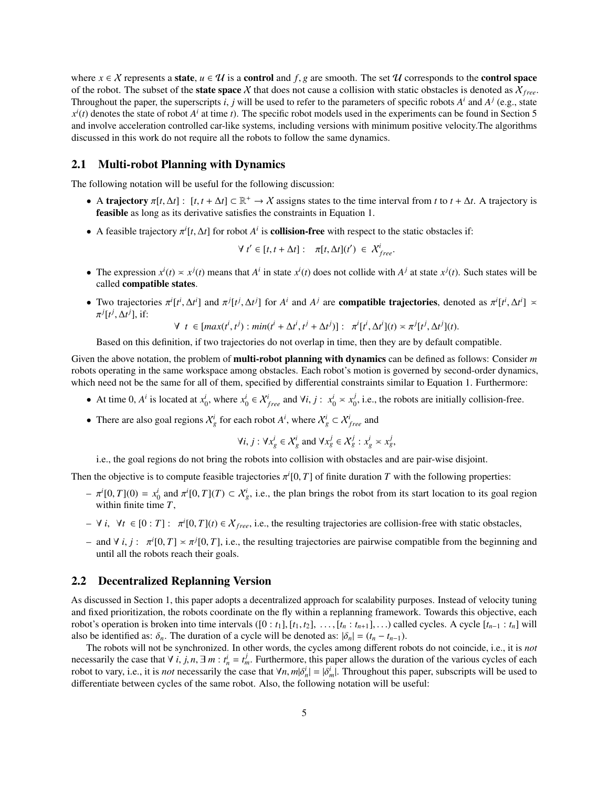where  $x \in X$  represents a **state**,  $u \in U$  is a **control** and  $f, g$  are smooth. The set U corresponds to the **control space** of the robot. The subset of the **state space** X that does not cause a collision with static obstacles is denoted as  $X_{free}$ . Throughout the paper, the superscripts *i*, *j* will be used to refer to the parameters of specific robots  $A^i$  and  $A^j$  (e.g., state  $x^i(t)$  denotes the state of robot  $A^i$  at time *t*). The specific robot models used in the experiments can be found in Section 5 and involve acceleration controlled car-like systems, including versions with minimum positive velocity.The algorithms discussed in this work do not require all the robots to follow the same dynamics.

## 2.1 Multi-robot Planning with Dynamics

The following notation will be useful for the following discussion:

- A trajectory  $\pi[t, \Delta t]$ :  $[t, t + \Delta t]$  ⊂  $\mathbb{R}^+$  → X assigns states to the time interval from *t* to  $t + \Delta t$ . A trajectory is feasible as long as its derivative satisfies the constraints in Equation 1.
- A feasible trajectory  $\pi^{i}[t, \Delta t]$  for robot  $A^{i}$  is **collision-free** with respect to the static obstacles if:

$$
\forall t' \in [t, t + \Delta t]: \quad \pi[t, \Delta t](t') \in \mathcal{X}_{free}^i.
$$

- The expression  $x^i(t) \approx x^j(t)$  means that  $A^i$  in state  $x^i(t)$  does not collide with  $A^j$  at state  $x^j(t)$ . Such states will be called compatible states.
- Two trajectories  $\pi^i[t^i, \Delta t^i]$  and  $\pi^j[t^j, \Delta t^j]$  for  $A^i$  and  $A^j$  are **compatible trajectories**, denoted as  $\pi^i[t^i, \Delta t^i] \approx$  $\pi^{j}[t^{j}, \Delta t^{j}],$  if: *j*

$$
\forall t \in [max(t^i, t^j) : min(t^i + \Delta t^i, t^j + \Delta t^j)] : \pi^i[t^i, \Delta t^i](t) \approx \pi^j[t^j, \Delta t^j](t).
$$

Based on this definition, if two trajectories do not overlap in time, then they are by default compatible.

Given the above notation, the problem of multi-robot planning with dynamics can be defined as follows: Consider *m* robots operating in the same workspace among obstacles. Each robot's motion is governed by second-order dynamics, which need not be the same for all of them, specified by differential constraints similar to Equation 1. Furthermore:

- At time 0,  $A^i$  is located at  $x_0^i$ , where  $x_0^i \in X_{free}^i$  and  $\forall i, j : x_0^i \times x_0^j$  $\int_0^{\infty}$ , i.e., the robots are initially collision-free.
- There are also goal regions  $X_g^i$  for each robot  $A^i$ , where  $X_g^i \subset X_{free}^i$  and

$$
\forall i, j : \forall x_g^i \in \mathcal{X}_g^i \text{ and } \forall x_g^j \in \mathcal{X}_g^j : x_g^i \times x_g^j,
$$

i.e., the goal regions do not bring the robots into collision with obstacles and are pair-wise disjoint.

Then the objective is to compute feasible trajectories  $\pi^i[0,T]$  of finite duration *T* with the following properties:

- $-\pi^i[0,T](0) = x_0^i$  and  $\pi^i[0,T](T) \subset X_g^i$ , i.e., the plan brings the robot from its start location to its goal region within finite time *T*,
- $\forall i, \forall t \in [0:T]: \pi^i[0,T](t) \in X_{free}$ , i.e., the resulting trajectories are collision-free with static obstacles,
- $-$  and  $\forall$  *i*, *j* :  $\pi$ <sup>*i*</sup>[0,*T*]  $\times \pi$ <sup>*j*</sup>[0,*T*], i.e., the resulting trajectories are pairwise compatible from the beginning and until all the robots reach their goals.

#### 2.2 Decentralized Replanning Version

As discussed in Section 1, this paper adopts a decentralized approach for scalability purposes. Instead of velocity tuning and fixed prioritization, the robots coordinate on the fly within a replanning framework. Towards this objective, each robot's operation is broken into time intervals  $([0 : t_1], [t_1, t_2], \ldots, [t_n : t_{n+1}], \ldots)$  called cycles. A cycle  $[t_{n-1} : t_n]$  will also be identified as:  $\delta_n$ . The duration of a cycle will be denoted as:  $|\delta_n| = (t_n - t_{n-1})$ .

The robots will not be synchronized. In other words, the cycles among different robots do not coincide, i.e., it is *not* necessarily the case that  $\forall i, j, n, \exists m : t_n^i = t_m^j$ . Furthermore, this paper allows the duration of the various cycles of each robot to vary, i.e., it is *not* necessarily the case that  $\forall n, m|\delta_n^i| = |\delta_m^i|$ . Throughout this paper, subscripts will be used to differentiate between cycles of the same robot. Also, the following notation will be useful: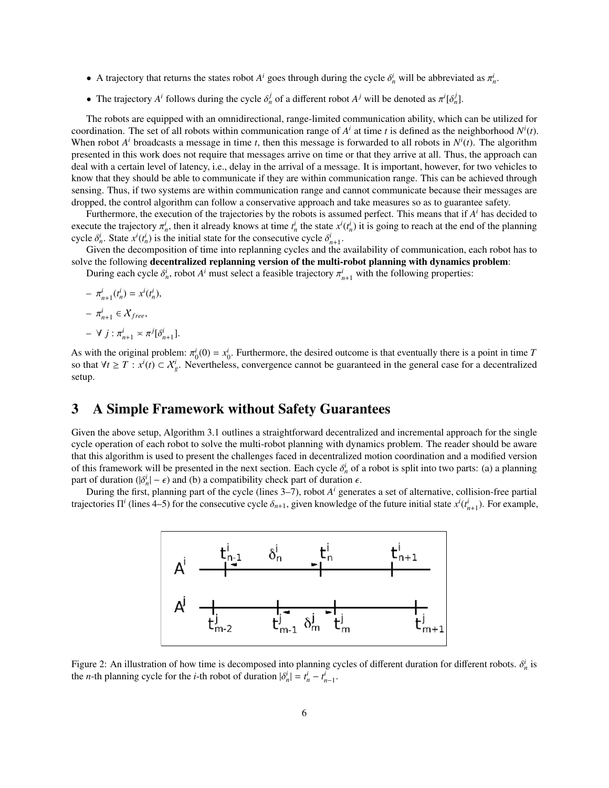- A trajectory that returns the states robot  $A^i$  goes through during the cycle  $\delta^i_n$  will be abbreviated as  $\pi^i_n$ .
- The trajectory *A<sup>i</sup>* follows during the cycle  $\delta_n^j$  of a different robot *A<sup>j</sup>* will be denoted as  $\pi^i[\delta_n^j]$ .

The robots are equipped with an omnidirectional, range-limited communication ability, which can be utilized for coordination. The set of all robots within communication range of  $A^i$  at time t is defined as the neighborhood  $N^i(t)$ . When robot  $A^i$  broadcasts a message in time *t*, then this message is forwarded to all robots in  $N^i(t)$ . The algorithm presented in this work does not require that messages arrive on time or that they arrive at all. Thus, the approach can deal with a certain level of latency, i.e., delay in the arrival of a message. It is important, however, for two vehicles to know that they should be able to communicate if they are within communication range. This can be achieved through sensing. Thus, if two systems are within communication range and cannot communicate because their messages are dropped, the control algorithm can follow a conservative approach and take measures so as to guarantee safety.

Furthermore, the execution of the trajectories by the robots is assumed perfect. This means that if *A <sup>i</sup>* has decided to execute the trajectory  $\pi_n^i$ , then it already knows at time  $t_n^i$  the state  $x^i(t_n^i)$  it is going to reach at the end of the planning cycle  $\delta_n^i$ . State  $x^i(t_n^i)$  is the initial state for the consecutive cycle  $\delta_{n+1}^i$ .

Given the decomposition of time into replanning cycles and the availability of communication, each robot has to solve the following decentralized replanning version of the multi-robot planning with dynamics problem:

During each cycle  $\delta_n^i$ , robot  $A^i$  must select a feasible trajectory  $\pi_{n+1}^i$  with the following properties:

$$
- \pi_{n+1}^i(t_n^i) = x^i(t_n^i),
$$
  

$$
- \pi_{n+1}^i \in X_{free},
$$
  

$$
- \forall j : \pi_{n+1}^i \approx \pi^j[\delta_{n+1}^i].
$$

As with the original problem:  $\pi_0^i(0) = x_0^i$ . Furthermore, the desired outcome is that eventually there is a point in time *T* so that  $\forall t \geq T : x^i(t) \subset X^i_g$ . Nevertheless, convergence cannot be guaranteed in the general case for a decentralized setup.

# 3 A Simple Framework without Safety Guarantees

Given the above setup, Algorithm 3.1 outlines a straightforward decentralized and incremental approach for the single cycle operation of each robot to solve the multi-robot planning with dynamics problem. The reader should be aware that this algorithm is used to present the challenges faced in decentralized motion coordination and a modified version of this framework will be presented in the next section. Each cycle  $\delta_n^i$  of a robot is split into two parts: (a) a planning part of duration ( $|\delta_n^i| - \epsilon$ ) and (b) a compatibility check part of duration  $\epsilon$ .

During the first, planning part of the cycle (lines 3–7), robot *A <sup>i</sup>* generates a set of alternative, collision-free partial trajectories  $\Pi^i$  (lines 4–5) for the consecutive cycle  $\delta_{n+1}$ , given knowledge of the future initial state  $x^i(t_{n+1}^i)$ . For example,



Figure 2: An illustration of how time is decomposed into planning cycles of different duration for different robots.  $\delta_n^i$  is the *n*-th planning cycle for the *i*-th robot of duration  $|\delta_n^i| = t_n^i - t_{n-1}^i$ .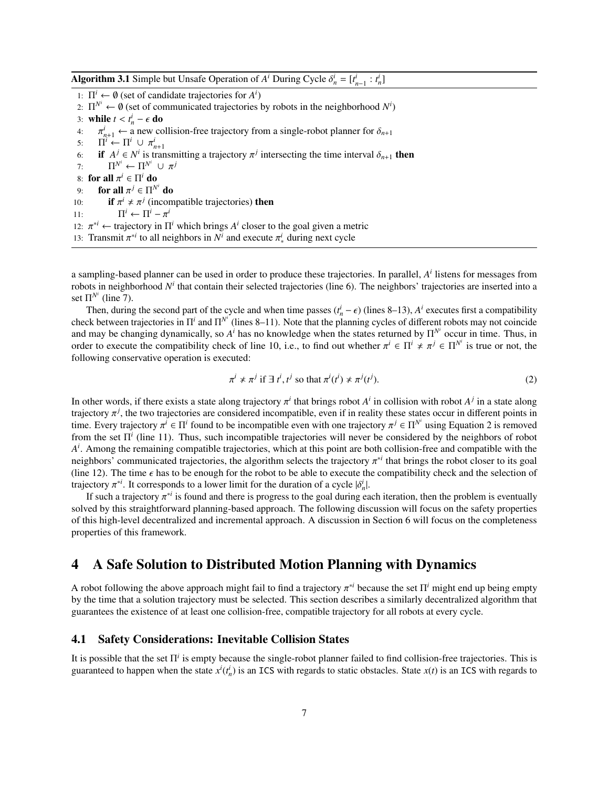Algorithm 3.1 Simple but Unsafe Operation of *A<sup>i</sup>* During Cycle  $\delta_n^i = [t_{n-1}^i : t_n^i]$ 1:  $\Pi^i \leftarrow \emptyset$  (set of candidate trajectories for  $A^i$ ) 2:  $\Pi^{N^i} \leftarrow \emptyset$  (set of communicated trajectories by robots in the neighborhood  $N^i$ ) 3: while  $t < t_n^i - \epsilon \, \mathbf{do}$ 4:  $\pi_{n+1}^i \leftarrow$  a new collision-free trajectory from a single-robot planner for  $\delta_{n+1}$ 5:  $\Pi^i \leftarrow \Pi^i \cup \pi^i_{n+1}$ 6: **if**  $A^j \in N^i$  is transmitting a trajectory  $\pi^j$  intersecting the time interval  $\delta_{n+1}$  then 7:  $\Pi^{N^i} \leftarrow \Pi^{N^i} \cup \pi^j$ 8: for all  $\pi^i \in \Pi^i$  do 9: **for all**  $\pi^{j} \in \Pi^{N^{i}}$  **do** 10: **if**  $\pi^i \neq \pi^j$  (incompatible trajectories) **then** 11:  $\Pi^i \leftarrow \Pi^i - \pi^i$ 12:  $\pi^{*i}$  ← trajectory in Π<sup>*i*</sup> which brings A<sup>*i*</sup> closer to the goal given a metric

13: Transmit  $\pi^{*i}$  to all neighbors in  $N^i$  and execute  $\pi^i_*$  during next cycle

a sampling-based planner can be used in order to produce these trajectories. In parallel, *A i* listens for messages from robots in neighborhood  $N<sup>i</sup>$  that contain their selected trajectories (line 6). The neighbors' trajectories are inserted into a set  $\Pi^{N^i}$  (line 7).

Then, during the second part of the cycle and when time passes  $(t_n^i - \epsilon)$  (lines 8–13),  $A^i$  executes first a compatibility check between trajectories in  $\Pi^i$  and  $\Pi^{N^i}$  (lines 8–11). Note that the planning cycles of different robots may not coincide and may be changing dynamically, so  $A^i$  has no knowledge when the states returned by  $\Pi^{N^i}$  occur in time. Thus, in order to execute the compatibility check of line 10, i.e., to find out whether  $\pi^{i} \in \Pi^{i} \neq \pi^{j} \in \Pi^{N^{i}}$  is true or not, the following conservative operation is executed:

$$
\pi^{i} \star \pi^{j} \text{ if } \exists t^{i}, t^{j} \text{ so that } \pi^{i}(t^{i}) \star \pi^{j}(t^{j}).
$$
\n(2)

In other words, if there exists a state along trajectory  $\pi^i$  that brings robot  $A^i$  in collision with robot  $A^j$  in a state along trajectory  $\pi^j$ , the two trajectories are considered incompatible, even if in reality these states occur in different points in time. Every trajectory  $\pi^{i} \in \Pi^{i}$  found to be incompatible even with one trajectory  $\pi^{j} \in \Pi^{N^{i}}$  using Equation 2 is removed from the set Π *i* (line 11). Thus, such incompatible trajectories will never be considered by the neighbors of robot *A i* . Among the remaining compatible trajectories, which at this point are both collision-free and compatible with the neighbors' communicated trajectories, the algorithm selects the trajectory  $\pi^{*i}$  that brings the robot closer to its goal (line 12). The time  $\epsilon$  has to be enough for the robot to be able to execute the compatibility check and the selection of trajectory  $\pi^{*i}$ . It corresponds to a lower limit for the duration of a cycle  $|\delta_n^i|$ .

If such a trajectory  $\pi^{*i}$  is found and there is progress to the goal during each iteration, then the problem is eventually solved by this straightforward planning-based approach. The following discussion will focus on the safety properties of this high-level decentralized and incremental approach. A discussion in Section 6 will focus on the completeness properties of this framework.

## 4 A Safe Solution to Distributed Motion Planning with Dynamics

A robot following the above approach might fail to find a trajectory π <sup>∗</sup>*<sup>i</sup>* because the set Π *<sup>i</sup>* might end up being empty by the time that a solution trajectory must be selected. This section describes a similarly decentralized algorithm that guarantees the existence of at least one collision-free, compatible trajectory for all robots at every cycle.

## 4.1 Safety Considerations: Inevitable Collision States

It is possible that the set  $\Pi^i$  is empty because the single-robot planner failed to find collision-free trajectories. This is guaranteed to happen when the state  $x^i(t_n^i)$  is an ICS with regards to static obstacles. State  $x(t)$  is an ICS with regards to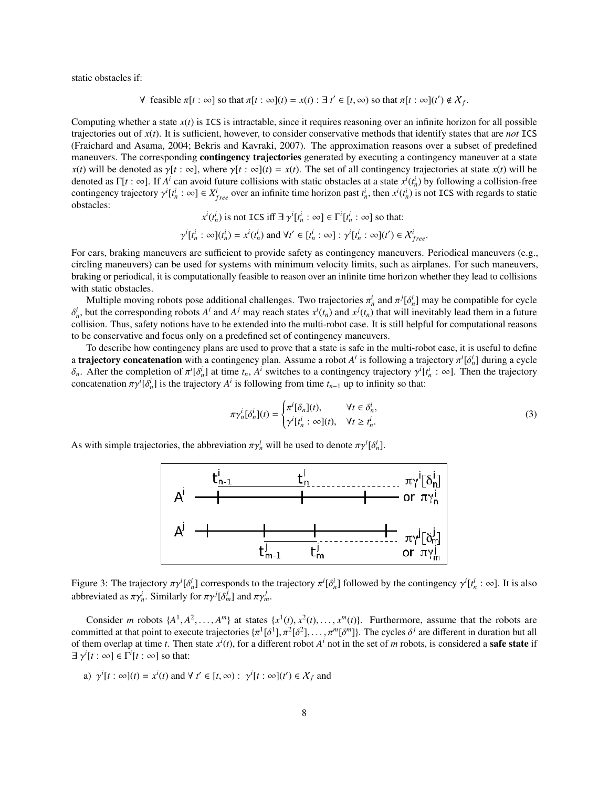static obstacles if:

$$
\forall \text{ feasible } \pi[t : \infty] \text{ so that } \pi[t : \infty](t) = x(t) : \exists t' \in [t, \infty) \text{ so that } \pi[t : \infty](t') \notin X_f
$$

Computing whether a state  $x(t)$  is ICS is intractable, since it requires reasoning over an infinite horizon for all possible trajectories out of *x*(*t*). It is sufficient, however, to consider conservative methods that identify states that are *not* ICS (Fraichard and Asama, 2004; Bekris and Kavraki, 2007). The approximation reasons over a subset of predefined maneuvers. The corresponding **contingency trajectories** generated by executing a contingency maneuver at a state *x*(*t*) will be denoted as  $\gamma[t : \infty]$ , where  $\gamma[t : \infty](t) = x(t)$ . The set of all contingency trajectories at state *x*(*t*) will be denoted as  $\Gamma[t : \infty]$ . If *A<sup>t</sup>* can avoid future collisions with static obstacles at a state  $x^i(t_n^i)$  by following a collision-free contingency trajectory  $\gamma^i[t_n^i : \infty] \in X_{free}^i$  over an infinite time horizon past  $t_n^i$ , then  $x^i(t_n^i)$  is not ICS with regards to static obstacles:

$$
x^i(t_n^i) \text{ is not ICS iff } \exists \gamma^i[t_n^i : \infty] \in \Gamma^i[t_n^i : \infty] \text{ so that:}
$$

$$
\gamma^i[t_n^i : \infty](t_n^i) = x^i(t_n^i) \text{ and } \forall t' \in [t_n^i : \infty] : \gamma^i[t_n^i : \infty](t') \in \mathcal{X}_{free}^i.
$$

For cars, braking maneuvers are sufficient to provide safety as contingency maneuvers. Periodical maneuvers (e.g., circling maneuvers) can be used for systems with minimum velocity limits, such as airplanes. For such maneuvers, braking or periodical, it is computationally feasible to reason over an infinite time horizon whether they lead to collisions with static obstacles.

Multiple moving robots pose additional challenges. Two trajectories  $\pi_n^i$  and  $\pi^j[\delta_n^i]$  may be compatible for cycle  $\delta_n^i$ , but the corresponding robots  $A^i$  and  $A^j$  may reach states  $x^i(t_n)$  and  $x^j(t_n)$  that will inevitably lead them in a future collision. Thus, safety notions have to be extended into the multi-robot case. It is still helpful for computational reasons to be conservative and focus only on a predefined set of contingency maneuvers.

To describe how contingency plans are used to prove that a state is safe in the multi-robot case, it is useful to define a **trajectory concatenation** with a contingency plan. Assume a robot  $A^i$  is following a trajectory  $\pi^i[\delta^i_n]$  during a cycle δ<sub>*n*</sub>. After the completion of  $\pi^i[\delta^i_n]$  at time  $t_n$ ,  $A^i$  switches to a contingency trajectory  $\gamma^i[t^i_n : \infty]$ . Then the trajectory concatenation  $\pi \gamma^i [\delta_n^i]$  is the trajectory  $A^i$  is following from time  $t_{n-1}$  up to infinity so that:

$$
\pi \gamma_n^i [\delta_n^i](t) = \begin{cases} \pi^i [\delta_n](t), & \forall t \in \delta_n^i, \\ \gamma^i [t_n^i : \infty](t), & \forall t \ge t_n^i. \end{cases}
$$
 (3)

.

As with simple trajectories, the abbreviation  $\pi \gamma_n^i$  will be used to denote  $\pi \gamma^i [\delta_n^i]$ .



Figure 3: The trajectory  $\pi \gamma^i [\delta_n^i]$  corresponds to the trajectory  $\pi^i [\delta_n^i]$  followed by the contingency  $\gamma^i [t_n^i : \infty]$ . It is also abbreviated as  $\pi \gamma_n^i$ . Similarly for  $\pi \gamma^j [\delta_m^j]$  and  $\pi \gamma_m^j$ .

Consider *m* robots  $\{A^1, A^2, \ldots, A^m\}$  at states  $\{x^1(t), x^2(t), \ldots, x^m(t)\}$ . Furthermore, assume that the robots are committed at that point to execute trajectories  $\{\pi^1[\delta^1], \pi^2[\delta^2], \ldots, \pi^m[\delta^m]\}\)$ . The cycles  $\delta^j$  are different in duration but all of them overlap at time *t*. Then state  $x^i(t)$ , for a different robot  $A^i$  not in the set of *m* robots, is considered a **safe state** if  $\exists \gamma^i[t : \infty] \in \Gamma^i[t : \infty]$  so that:

a) 
$$
\gamma^i[t : \infty](t) = x^i(t)
$$
 and  $\forall t' \in [t, \infty)$ :  $\gamma^i[t : \infty](t') \in X_f$  and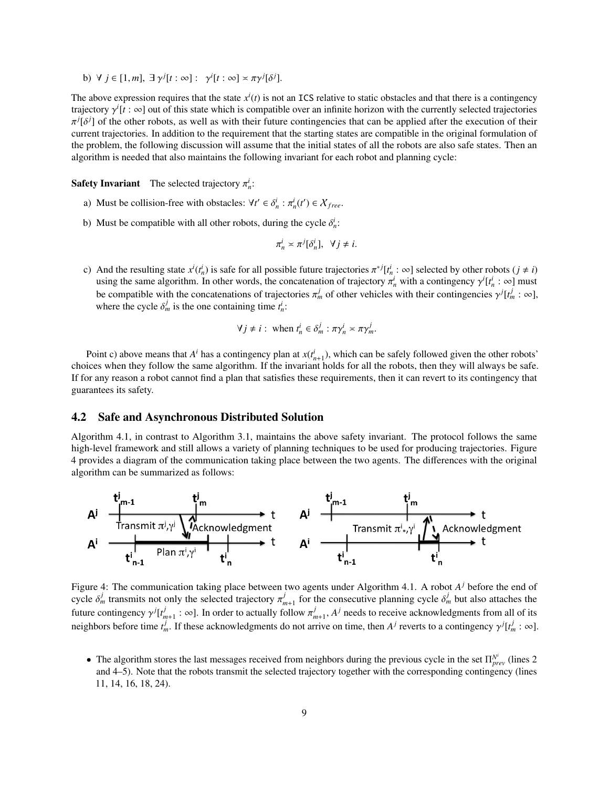b)  $\forall j \in [1, m], \exists \gamma^{j}[t : \infty] : \gamma^{i}[t : \infty] \times \pi \gamma^{j}[\delta^{j}].$ 

The above expression requires that the state  $x^i(t)$  is not an ICS relative to static obstacles and that there is a contingency trajectory  $\gamma^{i}[t:\infty]$  out of this state which is compatible over an infinite horizon with the currently selected trajectories  $\pi^j[\delta^j]$  of the other robots, as well as with their future contingencies that can be applied after the execution of their current trajectories. In addition to the requirement that the starting states are compatible in the original formulation of the problem, the following discussion will assume that the initial states of all the robots are also safe states. Then an algorithm is needed that also maintains the following invariant for each robot and planning cycle:

**Safety Invariant** The selected trajectory  $\pi_n^i$ :

- a) Must be collision-free with obstacles:  $\forall t' \in \delta_n^i : \pi_n^i(t') \in X_{free}$ .
- b) Must be compatible with all other robots, during the cycle  $\delta_n^i$ :

$$
\pi_n^i \times \pi^j[\delta_n^i], \ \ \forall j \neq i.
$$

c) And the resulting state  $x^i(t_n^i)$  is safe for all possible future trajectories  $\pi^{*j}[t_n^i : \infty]$  selected by other robots  $(j \neq i)$ using the same algorithm. In other words, the concatenation of trajectory  $\pi_n^i$  with a contingency  $\gamma^i[t_n^i : \infty]$  must be compatible with the concatenations of trajectories  $\pi_m^j$  of other vehicles with their contingencies  $\gamma^j[t_m^j : \infty]$ , where the cycle  $\delta_m^j$  is the one containing time  $t_n^i$ .

$$
\forall j \neq i: \text{ when } t_n^i \in \delta_m^j : \pi \gamma_n^i \asymp \pi \gamma_m^j.
$$

Point c) above means that  $A^i$  has a contingency plan at  $x(t_{n+1}^i)$ , which can be safely followed given the other robots' choices when they follow the same algorithm. If the invariant holds for all the robots, then they will always be safe. If for any reason a robot cannot find a plan that satisfies these requirements, then it can revert to its contingency that guarantees its safety.

#### 4.2 Safe and Asynchronous Distributed Solution

Algorithm 4.1, in contrast to Algorithm 3.1, maintains the above safety invariant. The protocol follows the same high-level framework and still allows a variety of planning techniques to be used for producing trajectories. Figure 4 provides a diagram of the communication taking place between the two agents. The differences with the original algorithm can be summarized as follows:



Figure 4: The communication taking place between two agents under Algorithm 4.1. A robot  $A<sup>j</sup>$  before the end of cycle  $\delta_m^j$  transmits not only the selected trajectory  $\pi_n^j$  $\delta_{m+1}^{j}$  for the consecutive planning cycle  $\delta_{m}^{j}$  but also attaches the future contingency  $\gamma^{j}$ [ $t_{n}^{j}$  $\frac{d^j}{dt^{j}}$  : ∞]. In order to actually follow  $\pi_n^j$  $j_{m+1}$ ,  $A^j$  needs to receive acknowledgments from all of its neighbors before time  $t_m^j$ . If these acknowledgments do not arrive on time, then  $A^j$  reverts to a contingency  $\gamma^j[t_m^j : \infty]$ .

• The algorithm stores the last messages received from neighbors during the previous cycle in the set  $\Pi_{prev}^{N^i}$  (lines 2 and 4–5). Note that the robots transmit the selected trajectory together with the corresponding contingency (lines 11, 14, 16, 18, 24).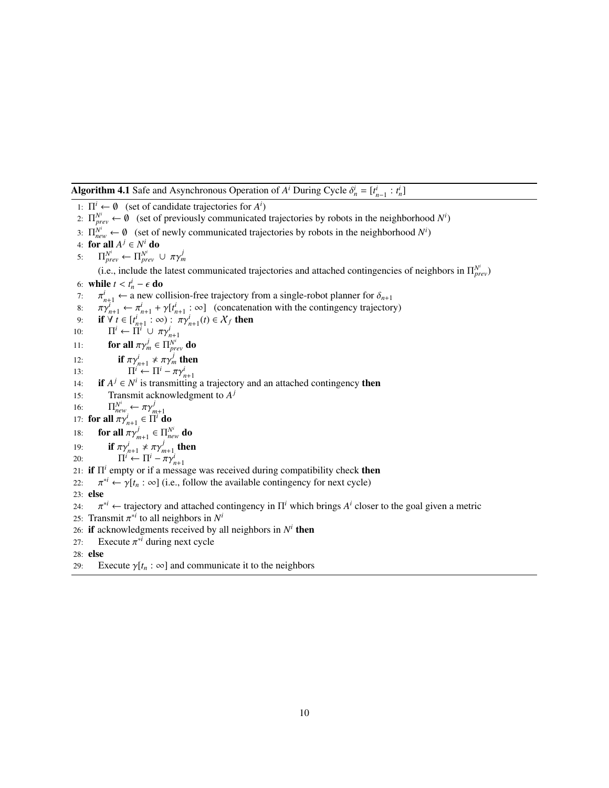Algorithm 4.1 Safe and Asynchronous Operation of  $A^i$  During Cycle  $\delta_n^i = [t_{n-1}^i : t_n^i]$ 

1:  $\Pi^i \leftarrow \emptyset$  (set of candidate trajectories for  $A^i$ ) 2:  $\Pi_{prev}^{N^i} \leftarrow \emptyset$  (set of previously communicated trajectories by robots in the neighborhood  $N^i$ ) 3:  $\Pi_{new}^{N^i} \leftarrow \emptyset$  (set of newly communicated trajectories by robots in the neighborhood  $N^i$ ) 4: for all  $A^j \in N^i$  do 5:  $\Pi_{prev}^{N^i} \leftarrow \Pi_{prev}^{N^i} \cup \pi \gamma_m^j$ (i.e., include the latest communicated trajectories and attached contingencies of neighbors in  $\Pi_{prev}^{N^i}$ ) 6: while  $t < t_n^i - \epsilon \, \mathbf{do}$ 7:  $\pi_{n+1}^i \leftarrow$  a new collision-free trajectory from a single-robot planner for  $\delta_{n+1}$ 8:  $\pi \gamma_{n+1}^i \leftarrow \pi_{n+1}^i + \gamma [t_{n+1}^i : \infty]$  (concatenation with the contingency trajectory) 9: **if**  $\forall t \in [t_{n+1}^i : \infty) : \pi \gamma_{n+1}^i(t) \in \mathcal{X}_f$  then 10:  $\Pi^i \leftarrow \Pi^i \cup \pi \gamma_{n+1}^i$ 11: **for all**  $\pi \gamma_m^j \in \Pi_{prev}^{N^i}$  do 12: **if**  $\pi \gamma_{n+1}^i \neq \pi \gamma_m^j$  then 13:  $\Pi^i \leftarrow \Pi^i - \pi \gamma_{n+1}^i$ 14: **if**  $A^j \in N^i$  is transmitting a trajectory and an attached contingency **then** 15: Transmit acknowledgment to  $A<sup>j</sup>$ 16:  $\prod_{new}^{N^i} \leftarrow \pi \gamma_n^j$ *m*+1 17: **for all**  $\pi \gamma_{n+1}^i$  ∈  $\Pi^i$  **do** 18: **for all**  $\pi \gamma_n^j$  $\sum_{m+1}^{j} \in \prod_{new}^{N^i}$  do 19: **if**  $\pi \gamma_{n+1}^i \neq \pi \gamma_n^j$  $_{m+1}^{J}$  then 20:  $\Pi^{i} \leftarrow \Pi^{i} - \pi \gamma_{n+1}^{i}$ 21: if  $\Pi^i$  empty or if a message was received during compatibility check then  $22:$  $\pi^{*i} \leftarrow \gamma[t_n : \infty]$  (i.e., follow the available contingency for next cycle) 23: else 24:  $\pi^{*i} \leftarrow$  trajectory and attached contingency in  $\Pi^i$  which brings  $A^i$  closer to the goal given a metric 25: Transmit  $\pi^{*i}$  to all neighbors in  $N^i$ 26: if acknowledgments received by all neighbors in  $N<sup>i</sup>$  then 27: Execute  $\pi^{*i}$  during next cycle 28: else 29: Execute  $\gamma[t_n : \infty]$  and communicate it to the neighbors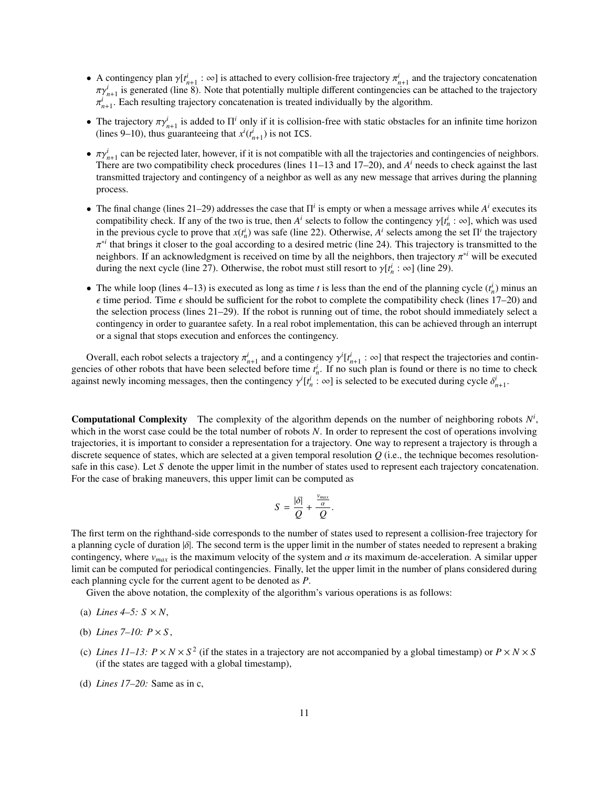- A contingency plan  $\gamma[t_{n+1}^i : \infty]$  is attached to every collision-free trajectory  $\pi_{n+1}^i$  and the trajectory concatenation  $\pi \gamma_{n+1}^i$  is generated (line 8). Note that potentially multiple different contingencies can be attached to the trajectory  $\pi_{n+1}^i$ . Each resulting trajectory concatenation is treated individually by the algorithm.
- The trajectory  $\pi y_{n+1}^i$  is added to  $\Pi^i$  only if it is collision-free with static obstacles for an infinite time horizon (lines 9–10), thus guaranteeing that  $x^i(t_{n+1}^i)$  is not ICS.
- $\bullet$   $\pi \gamma_{n+1}^i$  can be rejected later, however, if it is not compatible with all the trajectories and contingencies of neighbors. There are two compatibility check procedures (lines  $11-13$  and  $17-20$ ), and  $A^i$  needs to check against the last transmitted trajectory and contingency of a neighbor as well as any new message that arrives during the planning process.
- The final change (lines 21–29) addresses the case that  $\Pi^i$  is empty or when a message arrives while  $A^i$  executes its compatibility check. If any of the two is true, then  $A^i$  selects to follow the contingency  $\gamma[t^i_n : \infty]$ , which was used in the previous cycle to prove that  $x(t_n^i)$  was safe (line 22). Otherwise,  $A^i$  selects among the set  $\Pi^i$  the trajectory π ∗*i* that brings it closer to the goal according to a desired metric (line 24). This trajectory is transmitted to the neighbors. If an acknowledgment is received on time by all the neighbors, then trajectory π <sup>∗</sup>*<sup>i</sup>* will be executed during the next cycle (line 27). Otherwise, the robot must still resort to  $\gamma[t_n^i : \infty]$  (line 29).
- The while loop (lines 4–13) is executed as long as time *t* is less than the end of the planning cycle  $(t_n^i)$  minus an  $\epsilon$  time period. Time  $\epsilon$  should be sufficient for the robot to complete the compatibility check (lines 17–20) and the selection process (lines 21–29). If the robot is running out of time, the robot should immediately select a contingency in order to guarantee safety. In a real robot implementation, this can be achieved through an interrupt or a signal that stops execution and enforces the contingency.

Overall, each robot selects a trajectory  $\pi_{n+1}^i$  and a contingency  $\gamma^i[t_{n+1}^i:\infty]$  that respect the trajectories and contingencies of other robots that have been selected before time  $t_n^i$ . If no such plan is found or there is no time to check against newly incoming messages, then the contingency  $\gamma^i[t_n^i : \infty]$  is selected to be executed during cycle  $\delta_{n+1}^i$ .

**Computational Complexity** The complexity of the algorithm depends on the number of neighboring robots  $N^i$ , which in the worst case could be the total number of robots *N*. In order to represent the cost of operations involving trajectories, it is important to consider a representation for a trajectory. One way to represent a trajectory is through a discrete sequence of states, which are selected at a given temporal resolution *Q* (i.e., the technique becomes resolutionsafe in this case). Let *S* denote the upper limit in the number of states used to represent each trajectory concatenation. For the case of braking maneuvers, this upper limit can be computed as

$$
S = \frac{|\delta|}{Q} + \frac{\frac{v_{max}}{\alpha}}{Q}.
$$

The first term on the righthand-side corresponds to the number of states used to represent a collision-free trajectory for a planning cycle of duration  $|\delta|$ . The second term is the upper limit in the number of states needed to represent a braking contingency, where  $v_{max}$  is the maximum velocity of the system and  $\alpha$  its maximum de-acceleration. A similar upper limit can be computed for periodical contingencies. Finally, let the upper limit in the number of plans considered during each planning cycle for the current agent to be denoted as *P*.

Given the above notation, the complexity of the algorithm's various operations is as follows:

- (a) *Lines*  $4-5$ :  $S \times N$ ,
- (b) *Lines*  $7-10$ :  $P \times S$ ,
- (c) *Lines 11–13:*  $P \times N \times S^2$  (if the states in a trajectory are not accompanied by a global timestamp) or  $P \times N \times S$ (if the states are tagged with a global timestamp),
- (d) *Lines 17–20:* Same as in c,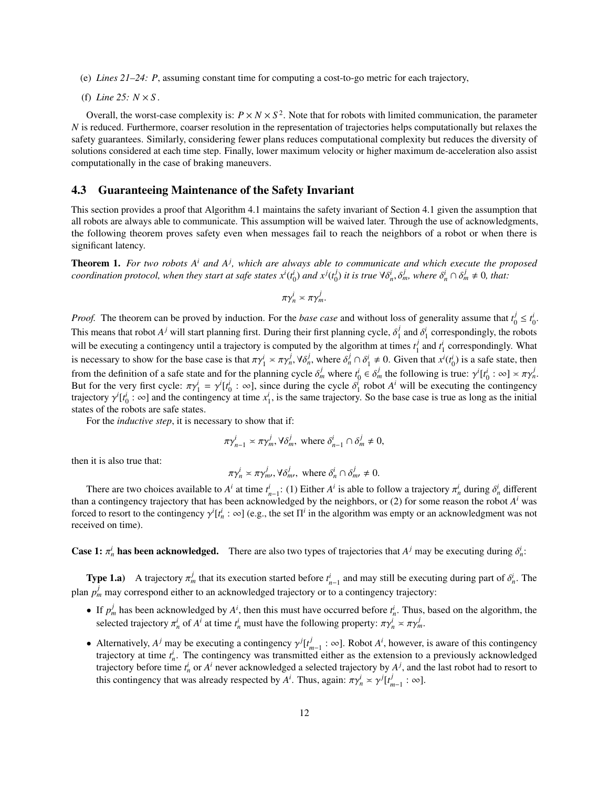- (e) *Lines 21–24: P*, assuming constant time for computing a cost-to-go metric for each trajectory,
- (f) *Line* 25:  $N \times S$ .

Overall, the worst-case complexity is:  $P \times N \times S^2$ . Note that for robots with limited communication, the parameter *N* is reduced. Furthermore, coarser resolution in the representation of trajectories helps computationally but relaxes the safety guarantees. Similarly, considering fewer plans reduces computational complexity but reduces the diversity of solutions considered at each time step. Finally, lower maximum velocity or higher maximum de-acceleration also assist computationally in the case of braking maneuvers.

## 4.3 Guaranteeing Maintenance of the Safety Invariant

This section provides a proof that Algorithm 4.1 maintains the safety invariant of Section 4.1 given the assumption that all robots are always able to communicate. This assumption will be waived later. Through the use of acknowledgments, the following theorem proves safety even when messages fail to reach the neighbors of a robot or when there is significant latency.

**Theorem 1.** For two robots  $A^i$  and  $A^j$ , which are always able to communicate and which execute the proposed coordination protocol, when they start at safe states  $x^{i}(t_0^{i})$  and  $x^{j}(t_0^{j})$  $\delta_0^j$  *it is true*  $\forall \delta_n^i, \delta_m^j$ , where  $\delta_n^i \cap \delta_m^j \neq 0$ , that:

$$
\pi \gamma_n^i \asymp \pi \gamma_m^j.
$$

*Proof.* The theorem can be proved by induction. For the *base case* and without loss of generality assume that  $t_0^j$  $j \leq t_0^i$ . This means that robot  $A^j$  will start planning first. During their first planning cycle,  $\delta^j$  $\frac{1}{1}$  and  $\delta_1^i$  correspondingly, the robots will be executing a contingency until a trajectory is computed by the algorithm at times  $t_1^j$  $i_1$ <sup>*i*</sup> and  $t_1$ <sup>*i*</sup> correspondingly. What is necessary to show for the base case is that  $\pi \gamma_1^i \times \pi \gamma_n^j$ ,  $\forall \delta_n^j$ , where  $\delta_n^j \cap \delta_1^i \neq 0$ . Given that  $x^i(t_0^i)$  is a safe state, then from the definition of a safe state and for the planning cycle  $\delta_m^j$  where  $t_0^i \in \delta_m^j$  the following is true:  $\gamma^i[t_0^i : \infty] \times \pi \gamma_n^j$ . But for the very first cycle:  $\pi \gamma_1^i = \gamma^i [t_0^i : \infty]$ , since during the cycle  $\delta_1^i$  robot  $A^i$  will be executing the contingency trajectory  $\gamma^i[t_0^i : \infty]$  and the contingency at time  $x_1^i$ , is the same trajectory. So the base case is true as long as the initial states of the robots are safe states.

For the *inductive step*, it is necessary to show that if:

$$
\pi \gamma_{n-1}^i \asymp \pi \gamma_m^j, \forall \delta_m^j
$$
, where  $\delta_{n-1}^i \cap \delta_m^j \neq 0$ ,

then it is also true that:

$$
\pi \gamma_n^i \asymp \pi \gamma_{m}^j, \forall \delta_{m}^j, \text{ where } \delta_n^i \cap \delta_{m}^j \neq 0.
$$

There are two choices available to  $A^i$  at time  $t_{n-1}^i$ : (1) Either  $A^i$  is able to follow a trajectory  $\pi_n^i$  during  $\delta_n^i$  different than a contingency trajectory that has been acknowledged by the neighbors, or (2) for some reason the robot *A <sup>i</sup>* was forced to resort to the contingency  $\gamma^i[t_n^i : \infty]$  (e.g., the set  $\Pi^i$  in the algorithm was empty or an acknowledgment was not received on time).

**Case 1:**  $\pi_n^i$  has been acknowledged. There are also two types of trajectories that  $A^j$  may be executing during  $\delta_n^i$ :

**Type 1.a**) A trajectory  $\pi_m^j$  that its execution started before  $t_{n-1}^i$  and may still be executing during part of  $\delta_n^i$ . The plan  $p_m^j$  may correspond either to an acknowledged trajectory or to a contingency trajectory:

- If  $p_m^j$  has been acknowledged by  $A^i$ , then this must have occurred before  $t_n^i$ . Thus, based on the algorithm, the selected trajectory  $\pi_n^i$  of  $A^i$  at time  $t_n^i$  must have the following property:  $\pi \gamma_n^i \approx \pi \gamma_m^j$ .
- Alternatively,  $A^j$  may be executing a contingency  $\gamma^j[t_n^j]$  $\frac{m}{m-1}$  : ∞]. Robot *A<sup>i</sup>*, however, is aware of this contingency trajectory at time  $t_n^i$ . The contingency was transmitted either as the extension to a previously acknowledged trajectory before time  $t_n^i$  or  $A^i$  never acknowledged a selected trajectory by  $A^j$ , and the last robot had to resort to this contingency that was already respected by *A<sup>i</sup>*. Thus, again:  $\pi \gamma_n^i \approx \gamma^j [t_n^j]$ *m*−1 : ∞].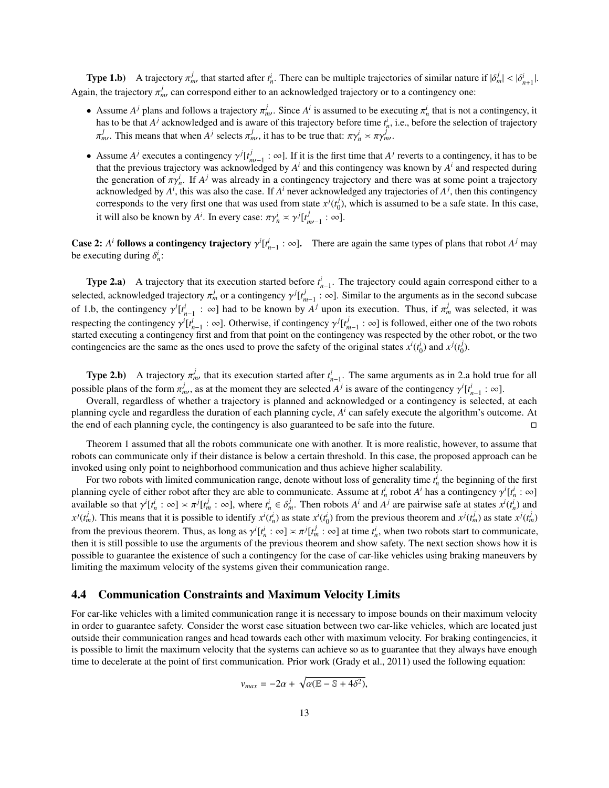**Type 1.b**) A trajectory  $\pi_m^j$ , that started after  $t_n^i$ . There can be multiple trajectories of similar nature if  $|\delta_m^j| < |\delta_{n+1}^i|$ . Again, the trajectory  $\pi_m^j$  can correspond either to an acknowledged trajectory or to a contingency one:

- Assume  $A^j$  plans and follows a trajectory  $\pi_m^j$ . Since  $A^i$  is assumed to be executing  $\pi_n^i$  that is not a contingency, it has to be that  $A^j$  acknowledged and is aware of this trajectory before time  $t_n^i$ , i.e., before the selection of trajectory  $\pi_{m}^{j}$ . This means that when *A*<sup>*j*</sup> selects  $\pi_{m}^{j}$ , it has to be true that:  $\pi \gamma_{n}^{j} \approx \pi \gamma_{m}^{j}$ .
- Assume  $A^j$  executes a contingency  $\gamma^j[t_n^j]$  $\frac{d}{dt}$  : ∞]. If it is the first time that *A*<sup>*j*</sup> reverts to a contingency, it has to be that the previous trajectory was acknowledged by  $A^i$  and this contingency was known by  $A^i$  and respected during the generation of  $\pi \gamma_n^i$ . If  $A^j$  was already in a contingency trajectory and there was at some point a trajectory acknowledged by  $A^i$ , this was also the case. If  $A^i$  never acknowledged any trajectories of  $A^j$ , then this contingency corresponds to the very first one that was used from state  $x^{j}(t_0^j)$  $\mathcal{O}_0$ , which is assumed to be a safe state. In this case, it will also be known by *A<sup>i</sup>*. In every case:  $\pi \gamma_n^i \approx \gamma^j [t_n^j]$  $^J_{m-1}$  : ∞].

**Case 2:** *A<sup>i</sup>* **follows a contingency trajectory**  $\gamma^{i}[t_{n-1}^{i} : \infty]$ . There are again the same types of plans that robot *A<sup>j</sup>* may be executing during  $\delta_n^i$ :

**Type 2.a**) A trajectory that its execution started before  $t_{n-1}^i$ . The trajectory could again correspond either to a selected, acknowledged trajectory  $\pi_m^j$  or a contingency  $\gamma^j[t_n^j]$ *J*<sub>*m*−1</sub> : ∞]. Similar to the arguments as in the second subcase of 1.b, the contingency  $\gamma^i[t_{n-1}^i : \infty]$  had to be known by  $A^j$  upon its execution. Thus, if  $\pi_m^j$  was selected, it was respecting the contingency  $\gamma^i[t_{n-1}^i : \infty]$ . Otherwise, if contingency  $\gamma^j[t_n^j]$ *f*<sub>*m*−1</sub> : ∞] is followed, either one of the two robots started executing a contingency first and from that point on the contingency was respected by the other robot, or the two contingencies are the same as the ones used to prove the safety of the original states  $x^i(t_0^i)$  and  $x^j(t_0^j)$  $_{0}^{J}).$ 

**Type 2.b**) A trajectory  $\pi_{m}^{j}$ , that its execution started after  $t_{n-1}^{j}$ . The same arguments as in 2.a hold true for all possible plans of the form  $\pi_{m}^j$ , as at the moment they are selected  $A^j$  is aware of the contingency  $\gamma^i[t_{n-1}^i : \infty]$ .

*n*−1 is aware of the continuous of the form  $n_m$ , as at the moment they are selected  $\Lambda$  is aware or the contingency  $\gamma_1 n_{n-1} \sim 1$ . planning cycle and regardless the duration of each planning cycle, *A i* can safely execute the algorithm's outcome. At the end of each planning cycle, the contingency is also guaranteed to be safe into the future.

Theorem 1 assumed that all the robots communicate one with another. It is more realistic, however, to assume that robots can communicate only if their distance is below a certain threshold. In this case, the proposed approach can be invoked using only point to neighborhood communication and thus achieve higher scalability.

For two robots with limited communication range, denote without loss of generality time  $t_n^i$  the beginning of the first planning cycle of either robot after they are able to communicate. Assume at  $t_n^i$  robot  $A^i$  has a contingency  $\gamma^i[t_n^i : \infty]$ available so that  $\gamma^i[t_n^i : \infty] \times \pi^j[t_m^j : \infty]$ , where  $t_n^i \in \delta_m^j$ . Then robots  $A^i$  and  $A^j$  are pairwise safe at states  $x^i(t_n^i)$  and  $x^{j}(t_m^j)$ . This means that it is possible to identify  $x^{i}(t_n^i)$  as state  $x^{i}(t_0^i)$  from the previous theorem and  $x^{j}(t_m^j)$  as state  $x^{j}(t_m^j)$ from the previous theorem. Thus, as long as  $\gamma^i[t_n^j : \infty] \times \pi^j[t_m^j : \infty]$  at time  $t_n^i$ , when two robots start to communicate, then it is still possible to use the arguments of the previous theorem and show safety. The next section shows how it is possible to guarantee the existence of such a contingency for the case of car-like vehicles using braking maneuvers by limiting the maximum velocity of the systems given their communication range.

#### 4.4 Communication Constraints and Maximum Velocity Limits

For car-like vehicles with a limited communication range it is necessary to impose bounds on their maximum velocity in order to guarantee safety. Consider the worst case situation between two car-like vehicles, which are located just outside their communication ranges and head towards each other with maximum velocity. For braking contingencies, it is possible to limit the maximum velocity that the systems can achieve so as to guarantee that they always have enough time to decelerate at the point of first communication. Prior work (Grady et al., 2011) used the following equation:

$$
v_{max} = -2\alpha + \sqrt{\alpha(\mathbb{E} - \mathbb{S} + 4\delta^2)},
$$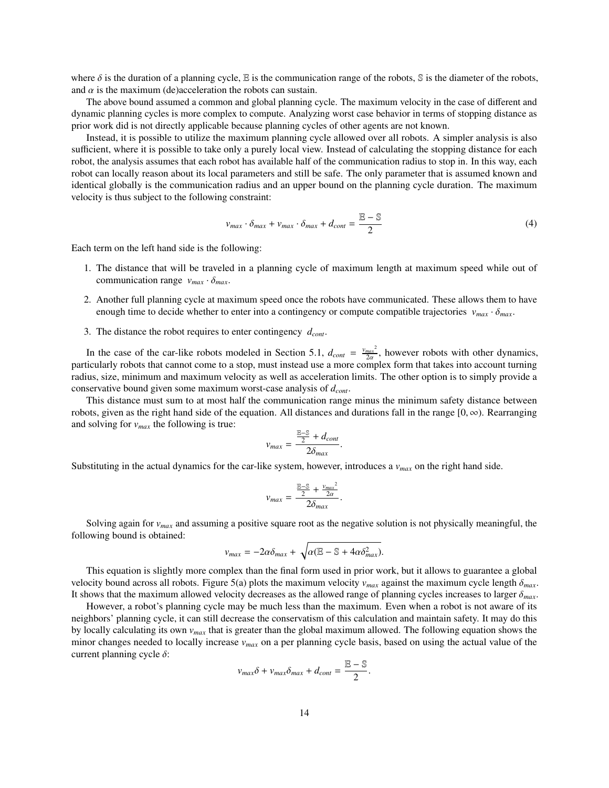where  $\delta$  is the duration of a planning cycle, E is the communication range of the robots, S is the diameter of the robots, and  $\alpha$  is the maximum (de)acceleration the robots can sustain.

The above bound assumed a common and global planning cycle. The maximum velocity in the case of different and dynamic planning cycles is more complex to compute. Analyzing worst case behavior in terms of stopping distance as prior work did is not directly applicable because planning cycles of other agents are not known.

Instead, it is possible to utilize the maximum planning cycle allowed over all robots. A simpler analysis is also sufficient, where it is possible to take only a purely local view. Instead of calculating the stopping distance for each robot, the analysis assumes that each robot has available half of the communication radius to stop in. In this way, each robot can locally reason about its local parameters and still be safe. The only parameter that is assumed known and identical globally is the communication radius and an upper bound on the planning cycle duration. The maximum velocity is thus subject to the following constraint:

$$
v_{max} \cdot \delta_{max} + v_{max} \cdot \delta_{max} + d_{cont} = \frac{\mathbb{E} - \mathbb{S}}{2}
$$
 (4)

Each term on the left hand side is the following:

- 1. The distance that will be traveled in a planning cycle of maximum length at maximum speed while out of communication range  $v_{max} \cdot \delta_{max}$ .
- 2. Another full planning cycle at maximum speed once the robots have communicated. These allows them to have enough time to decide whether to enter into a contingency or compute compatible trajectories  $v_{max} \cdot \delta_{max}$ .
- 3. The distance the robot requires to enter contingency *dcont*.

In the case of the car-like robots modeled in Section 5.1,  $d_{cont} = \frac{v_{max}^2}{2g}$  $\frac{max}{2\alpha}$ , however robots with other dynamics, particularly robots that cannot come to a stop, must instead use a more complex form that takes into account turning radius, size, minimum and maximum velocity as well as acceleration limits. The other option is to simply provide a conservative bound given some maximum worst-case analysis of *dcont*.

This distance must sum to at most half the communication range minus the minimum safety distance between robots, given as the right hand side of the equation. All distances and durations fall in the range  $[0, \infty)$ . Rearranging and solving for *vmax* the following is true:

$$
v_{max} = \frac{\frac{E-S}{2} + d_{cont}}{2\delta_{max}}.
$$

Substituting in the actual dynamics for the car-like system, however, introduces a *vmax* on the right hand side.

$$
v_{max} = \frac{\frac{E-S}{2} + \frac{v_{max}^2}{2\alpha}}{2\delta_{max}}.
$$

Solving again for *vmax* and assuming a positive square root as the negative solution is not physically meaningful, the following bound is obtained:

$$
v_{max} = -2\alpha \delta_{max} + \sqrt{\alpha (\mathbb{E} - \mathbb{S} + 4\alpha \delta_{max}^2)}.
$$

This equation is slightly more complex than the final form used in prior work, but it allows to guarantee a global velocity bound across all robots. Figure 5(a) plots the maximum velocity  $v_{max}$  against the maximum cycle length  $\delta_{max}$ . It shows that the maximum allowed velocity decreases as the allowed range of planning cycles increases to larger  $\delta_{max}$ .

However, a robot's planning cycle may be much less than the maximum. Even when a robot is not aware of its neighbors' planning cycle, it can still decrease the conservatism of this calculation and maintain safety. It may do this by locally calculating its own *vmax* that is greater than the global maximum allowed. The following equation shows the minor changes needed to locally increase *vmax* on a per planning cycle basis, based on using the actual value of the current planning cycle  $\delta$ :

$$
v_{max}\delta + v_{max}\delta_{max} + d_{cont} = \frac{\mathbb{E} - \mathbb{S}}{2}.
$$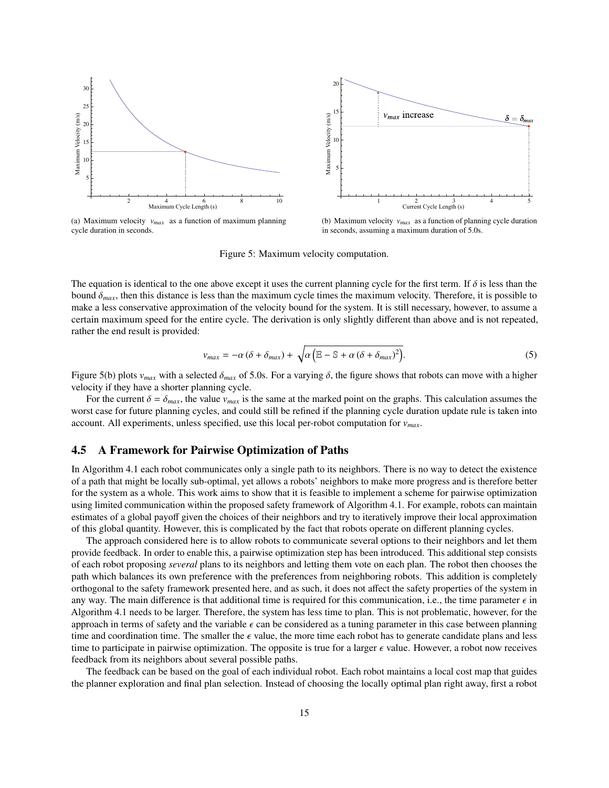

(a) Maximum velocity *vmax* as a function of maximum planning cycle duration in seconds.

(b) Maximum velocity *vmax* as a function of planning cycle duration in seconds, assuming a maximum duration of 5.0s.

Figure 5: Maximum velocity computation.

The equation is identical to the one above except it uses the current planning cycle for the first term. If  $\delta$  is less than the bound δ*max*, then this distance is less than the maximum cycle times the maximum velocity. Therefore, it is possible to make a less conservative approximation of the velocity bound for the system. It is still necessary, however, to assume a certain maximum speed for the entire cycle. The derivation is only slightly different than above and is not repeated, rather the end result is provided:

$$
v_{max} = -\alpha (\delta + \delta_{max}) + \sqrt{\alpha (\mathbb{E} - \mathbb{S} + \alpha (\delta + \delta_{max})^2)}.
$$
 (5)

Figure 5(b) plots  $v_{max}$  with a selected  $\delta_{max}$  of 5.0s. For a varying  $\delta$ , the figure shows that robots can move with a higher velocity if they have a shorter planning cycle.

For the current  $\delta = \delta_{max}$ , the value  $v_{max}$  is the same at the marked point on the graphs. This calculation assumes the worst case for future planning cycles, and could still be refined if the planning cycle duration update rule is taken into account. All experiments, unless specified, use this local per-robot computation for *vmax*.

## 4.5 A Framework for Pairwise Optimization of Paths

In Algorithm 4.1 each robot communicates only a single path to its neighbors. There is no way to detect the existence of a path that might be locally sub-optimal, yet allows a robots' neighbors to make more progress and is therefore better for the system as a whole. This work aims to show that it is feasible to implement a scheme for pairwise optimization using limited communication within the proposed safety framework of Algorithm 4.1. For example, robots can maintain estimates of a global payoff given the choices of their neighbors and try to iteratively improve their local approximation of this global quantity. However, this is complicated by the fact that robots operate on different planning cycles.

The approach considered here is to allow robots to communicate several options to their neighbors and let them provide feedback. In order to enable this, a pairwise optimization step has been introduced. This additional step consists of each robot proposing *several* plans to its neighbors and letting them vote on each plan. The robot then chooses the path which balances its own preference with the preferences from neighboring robots. This addition is completely orthogonal to the safety framework presented here, and as such, it does not affect the safety properties of the system in any way. The main difference is that additional time is required for this communication, i.e., the time parameter  $\epsilon$  in Algorithm 4.1 needs to be larger. Therefore, the system has less time to plan. This is not problematic, however, for the approach in terms of safety and the variable  $\epsilon$  can be considered as a tuning parameter in this case between planning time and coordination time. The smaller the  $\epsilon$  value, the more time each robot has to generate candidate plans and less time to participate in pairwise optimization. The opposite is true for a larger  $\epsilon$  value. However, a robot now receives feedback from its neighbors about several possible paths.

The feedback can be based on the goal of each individual robot. Each robot maintains a local cost map that guides the planner exploration and final plan selection. Instead of choosing the locally optimal plan right away, first a robot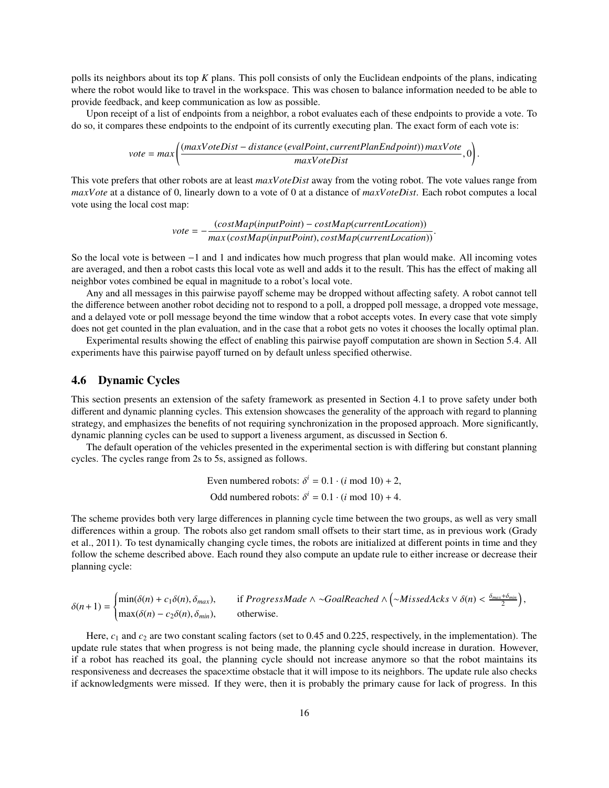polls its neighbors about its top *K* plans. This poll consists of only the Euclidean endpoints of the plans, indicating where the robot would like to travel in the workspace. This was chosen to balance information needed to be able to provide feedback, and keep communication as low as possible.

Upon receipt of a list of endpoints from a neighbor, a robot evaluates each of these endpoints to provide a vote. To do so, it compares these endpoints to the endpoint of its currently executing plan. The exact form of each vote is:

$$
vote = max \left( \frac{(maxVoteDist - distance (evalPoint, currentPlanEndpoint)) maxVote}{maxVoteDist}, 0 \right).
$$

This vote prefers that other robots are at least *maxVoteDist* away from the voting robot. The vote values range from *maxVote* at a distance of 0, linearly down to a vote of 0 at a distance of *maxVoteDist*. Each robot computes a local vote using the local cost map:

> *vote* = − (*costMap*(*inputPoint*) − *costMap*(*currentLocation*)) *max* (*costMap*(*inputPoint*), *costMap*(*currentLocation*)) .

So the local vote is between −1 and 1 and indicates how much progress that plan would make. All incoming votes are averaged, and then a robot casts this local vote as well and adds it to the result. This has the effect of making all neighbor votes combined be equal in magnitude to a robot's local vote.

Any and all messages in this pairwise payoff scheme may be dropped without affecting safety. A robot cannot tell the difference between another robot deciding not to respond to a poll, a dropped poll message, a dropped vote message, and a delayed vote or poll message beyond the time window that a robot accepts votes. In every case that vote simply does not get counted in the plan evaluation, and in the case that a robot gets no votes it chooses the locally optimal plan.

Experimental results showing the effect of enabling this pairwise payoff computation are shown in Section 5.4. All experiments have this pairwise payoff turned on by default unless specified otherwise.

## 4.6 Dynamic Cycles

This section presents an extension of the safety framework as presented in Section 4.1 to prove safety under both different and dynamic planning cycles. This extension showcases the generality of the approach with regard to planning strategy, and emphasizes the benefits of not requiring synchronization in the proposed approach. More significantly, dynamic planning cycles can be used to support a liveness argument, as discussed in Section 6.

The default operation of the vehicles presented in the experimental section is with differing but constant planning cycles. The cycles range from 2s to 5s, assigned as follows.

> Even numbered robots:  $\delta^i = 0.1 \cdot (i \mod 10) + 2$ , Odd numbered robots:  $\delta^i = 0.1 \cdot (i \mod 10) + 4$ .

The scheme provides both very large differences in planning cycle time between the two groups, as well as very small differences within a group. The robots also get random small offsets to their start time, as in previous work (Grady et al., 2011). To test dynamically changing cycle times, the robots are initialized at different points in time and they follow the scheme described above. Each round they also compute an update rule to either increase or decrease their planning cycle:

$$
\delta(n+1) = \begin{cases} \min(\delta(n) + c_1\delta(n), \delta_{max}), & \text{if ProgressMode } \land \neg GoalReached \land \left(\neg MissedAcks \lor \delta(n) < \frac{\delta_{max} + \delta_{min}}{2}\right), \\ \max(\delta(n) - c_2\delta(n), \delta_{min}), & \text{otherwise.} \end{cases}
$$

Here,  $c_1$  and  $c_2$  are two constant scaling factors (set to 0.45 and 0.225, respectively, in the implementation). The update rule states that when progress is not being made, the planning cycle should increase in duration. However, if a robot has reached its goal, the planning cycle should not increase anymore so that the robot maintains its responsiveness and decreases the space×time obstacle that it will impose to its neighbors. The update rule also checks if acknowledgments were missed. If they were, then it is probably the primary cause for lack of progress. In this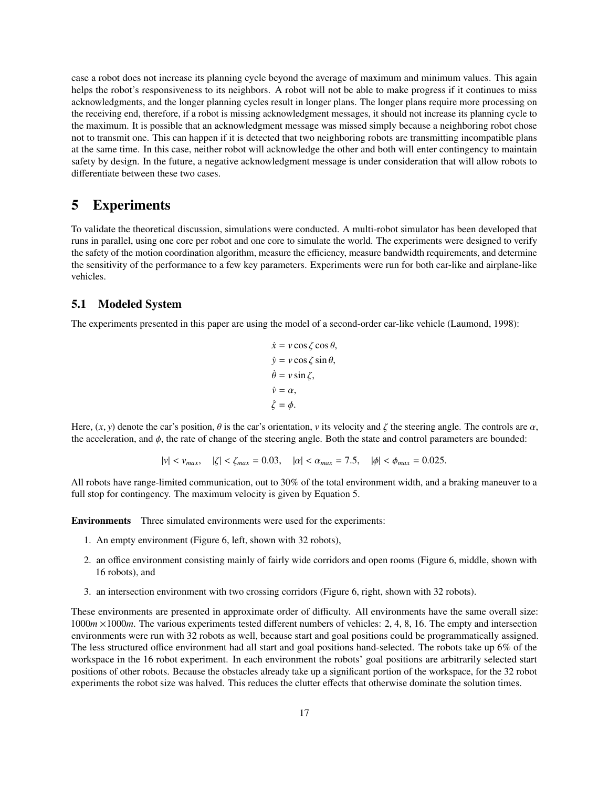case a robot does not increase its planning cycle beyond the average of maximum and minimum values. This again helps the robot's responsiveness to its neighbors. A robot will not be able to make progress if it continues to miss acknowledgments, and the longer planning cycles result in longer plans. The longer plans require more processing on the receiving end, therefore, if a robot is missing acknowledgment messages, it should not increase its planning cycle to the maximum. It is possible that an acknowledgment message was missed simply because a neighboring robot chose not to transmit one. This can happen if it is detected that two neighboring robots are transmitting incompatible plans at the same time. In this case, neither robot will acknowledge the other and both will enter contingency to maintain safety by design. In the future, a negative acknowledgment message is under consideration that will allow robots to differentiate between these two cases.

# 5 Experiments

To validate the theoretical discussion, simulations were conducted. A multi-robot simulator has been developed that runs in parallel, using one core per robot and one core to simulate the world. The experiments were designed to verify the safety of the motion coordination algorithm, measure the efficiency, measure bandwidth requirements, and determine the sensitivity of the performance to a few key parameters. Experiments were run for both car-like and airplane-like vehicles.

## 5.1 Modeled System

The experiments presented in this paper are using the model of a second-order car-like vehicle (Laumond, 1998):

$$
\dot{x} = v \cos \zeta \cos \theta,
$$
  
\n
$$
\dot{y} = v \cos \zeta \sin \theta,
$$
  
\n
$$
\dot{\theta} = v \sin \zeta,
$$
  
\n
$$
\dot{v} = \alpha,
$$
  
\n
$$
\dot{\zeta} = \phi.
$$

Here,  $(x, y)$  denote the car's position,  $\theta$  is the car's orientation, *v* its velocity and  $\zeta$  the steering angle. The controls are  $\alpha$ , the acceleration, and  $\phi$ , the rate of change of the steering angle. Both the state and control parameters are bounded:

$$
|v| < v_{max}, \quad |\zeta| < \zeta_{max} = 0.03, \quad |\alpha| < \alpha_{max} = 7.5, \quad |\phi| < \phi_{max} = 0.025.
$$

All robots have range-limited communication, out to 30% of the total environment width, and a braking maneuver to a full stop for contingency. The maximum velocity is given by Equation 5.

Environments Three simulated environments were used for the experiments:

- 1. An empty environment (Figure 6, left, shown with 32 robots),
- 2. an office environment consisting mainly of fairly wide corridors and open rooms (Figure 6, middle, shown with 16 robots), and
- 3. an intersection environment with two crossing corridors (Figure 6, right, shown with 32 robots).

These environments are presented in approximate order of difficulty. All environments have the same overall size: 1000*m* ×1000*m*. The various experiments tested different numbers of vehicles: 2, 4, 8, 16. The empty and intersection environments were run with 32 robots as well, because start and goal positions could be programmatically assigned. The less structured office environment had all start and goal positions hand-selected. The robots take up 6% of the workspace in the 16 robot experiment. In each environment the robots' goal positions are arbitrarily selected start positions of other robots. Because the obstacles already take up a significant portion of the workspace, for the 32 robot experiments the robot size was halved. This reduces the clutter effects that otherwise dominate the solution times.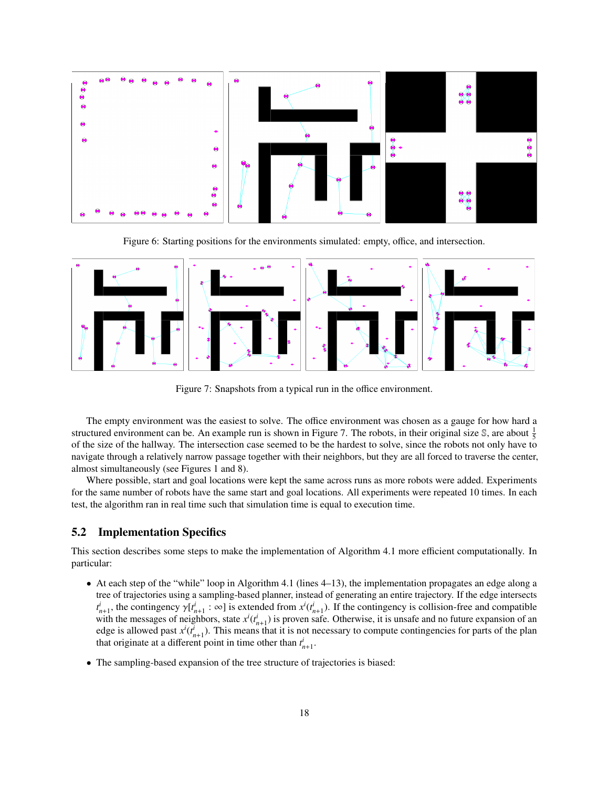

Figure 6: Starting positions for the environments simulated: empty, office, and intersection.



Figure 7: Snapshots from a typical run in the office environment.

The empty environment was the easiest to solve. The office environment was chosen as a gauge for how hard a structured environment can be. An example run is shown in Figure 7. The robots, in their original size  $\mathbb{S}$ , are about  $\frac{1}{5}$ of the size of the hallway. The intersection case seemed to be the hardest to solve, since the robots not only have to navigate through a relatively narrow passage together with their neighbors, but they are all forced to traverse the center, almost simultaneously (see Figures 1 and 8).

Where possible, start and goal locations were kept the same across runs as more robots were added. Experiments for the same number of robots have the same start and goal locations. All experiments were repeated 10 times. In each test, the algorithm ran in real time such that simulation time is equal to execution time.

# 5.2 Implementation Specifics

This section describes some steps to make the implementation of Algorithm 4.1 more efficient computationally. In particular:

- At each step of the "while" loop in Algorithm 4.1 (lines 4–13), the implementation propagates an edge along a tree of trajectories using a sampling-based planner, instead of generating an entire trajectory. If the edge intersects  $t_{n+1}^i$ , the contingency  $\gamma[t_{n+1}^i : \infty]$  is extended from  $x^i(t_{n+1}^i)$ . If the contingency is collision-free and compatible with the messages of neighbors, state  $x^i(t_{n+1}^i)$  is proven safe. Otherwise, it is unsafe and no future expansion of an edge is allowed past  $x^i(t_{n+1}^i)$ . This means that it is not necessary to compute contingencies for parts of the plan that originate at a different point in time other than  $t_{n+1}^i$ .
- The sampling-based expansion of the tree structure of trajectories is biased: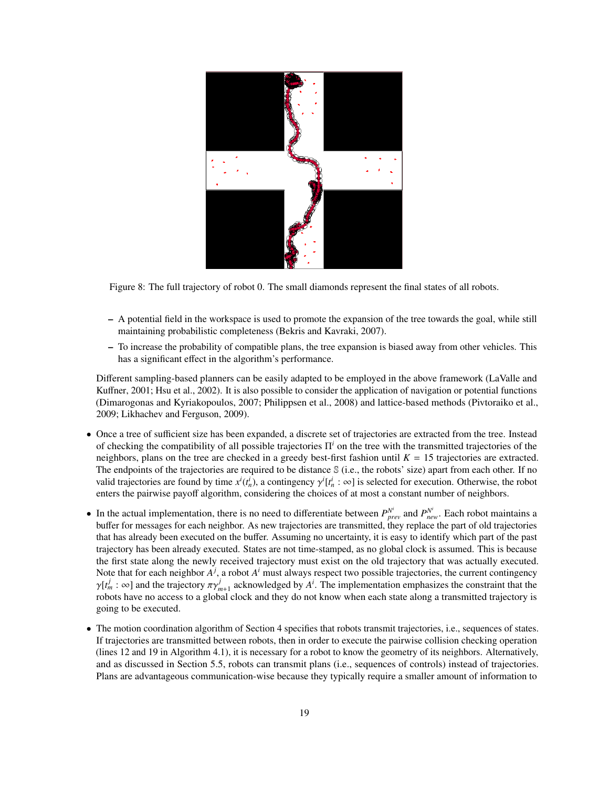

Figure 8: The full trajectory of robot 0. The small diamonds represent the final states of all robots.

- A potential field in the workspace is used to promote the expansion of the tree towards the goal, while still maintaining probabilistic completeness (Bekris and Kavraki, 2007).
- To increase the probability of compatible plans, the tree expansion is biased away from other vehicles. This has a significant effect in the algorithm's performance.

Different sampling-based planners can be easily adapted to be employed in the above framework (LaValle and Kuffner, 2001; Hsu et al., 2002). It is also possible to consider the application of navigation or potential functions (Dimarogonas and Kyriakopoulos, 2007; Philippsen et al., 2008) and lattice-based methods (Pivtoraiko et al., 2009; Likhachev and Ferguson, 2009).

- Once a tree of sufficient size has been expanded, a discrete set of trajectories are extracted from the tree. Instead of checking the compatibility of all possible trajectories Π *<sup>i</sup>* on the tree with the transmitted trajectories of the neighbors, plans on the tree are checked in a greedy best-first fashion until  $K = 15$  trajectories are extracted. The endpoints of the trajectories are required to be distance  $\Im$  (i.e., the robots' size) apart from each other. If no valid trajectories are found by time  $x^i(t_n^i)$ , a contingency  $\gamma^i[t_n^i : \infty]$  is selected for execution. Otherwise, the robot enters the pairwise payoff algorithm, considering the choices of at most a constant number of neighbors.
- In the actual implementation, there is no need to differentiate between  $P_{prev}^{N^i}$  and  $P_{new}^{N^i}$ . Each robot maintains a buffer for messages for each neighbor. As new trajectories are transmitted, they replace the part of old trajectories that has already been executed on the buffer. Assuming no uncertainty, it is easy to identify which part of the past trajectory has been already executed. States are not time-stamped, as no global clock is assumed. This is because the first state along the newly received trajectory must exist on the old trajectory that was actually executed. Note that for each neighbor  $A^j$ , a robot  $A^i$  must always respect two possible trajectories, the current contingency  $\gamma[t_m^j : \infty]$  and the trajectory  $\pi \gamma_n^j$  $\sum_{m+1}^{j}$  acknowledged by  $A^i$ . The implementation emphasizes the constraint that the robots have no access to a global clock and they do not know when each state along a transmitted trajectory is going to be executed.
- The motion coordination algorithm of Section 4 specifies that robots transmit trajectories, i.e., sequences of states. If trajectories are transmitted between robots, then in order to execute the pairwise collision checking operation (lines 12 and 19 in Algorithm 4.1), it is necessary for a robot to know the geometry of its neighbors. Alternatively, and as discussed in Section 5.5, robots can transmit plans (i.e., sequences of controls) instead of trajectories. Plans are advantageous communication-wise because they typically require a smaller amount of information to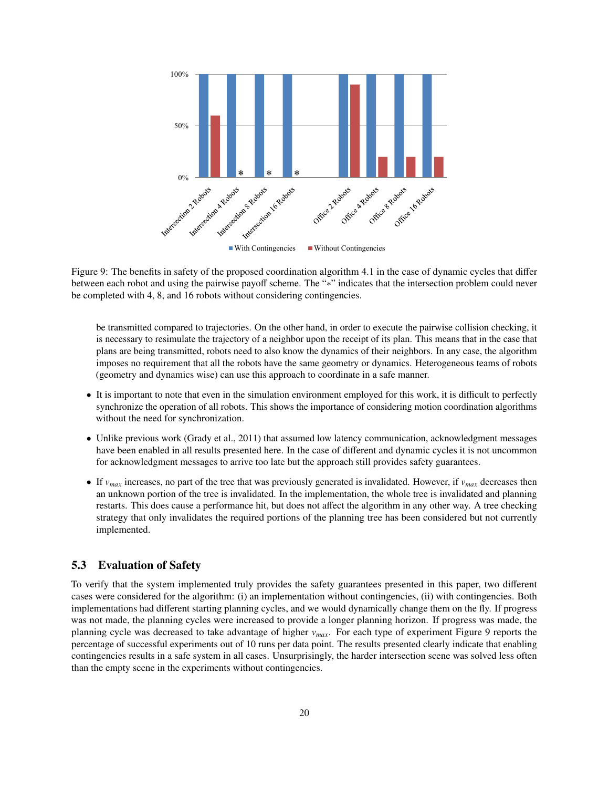

Figure 9: The benefits in safety of the proposed coordination algorithm 4.1 in the case of dynamic cycles that differ between each robot and using the pairwise payoff scheme. The "∗" indicates that the intersection problem could never be completed with 4, 8, and 16 robots without considering contingencies.

be transmitted compared to trajectories. On the other hand, in order to execute the pairwise collision checking, it is necessary to resimulate the trajectory of a neighbor upon the receipt of its plan. This means that in the case that plans are being transmitted, robots need to also know the dynamics of their neighbors. In any case, the algorithm imposes no requirement that all the robots have the same geometry or dynamics. Heterogeneous teams of robots (geometry and dynamics wise) can use this approach to coordinate in a safe manner.

- It is important to note that even in the simulation environment employed for this work, it is difficult to perfectly synchronize the operation of all robots. This shows the importance of considering motion coordination algorithms without the need for synchronization.
- Unlike previous work (Grady et al., 2011) that assumed low latency communication, acknowledgment messages have been enabled in all results presented here. In the case of different and dynamic cycles it is not uncommon for acknowledgment messages to arrive too late but the approach still provides safety guarantees.
- If  $v_{max}$  increases, no part of the tree that was previously generated is invalidated. However, if  $v_{max}$  decreases then an unknown portion of the tree is invalidated. In the implementation, the whole tree is invalidated and planning restarts. This does cause a performance hit, but does not affect the algorithm in any other way. A tree checking strategy that only invalidates the required portions of the planning tree has been considered but not currently implemented.

## 5.3 Evaluation of Safety

To verify that the system implemented truly provides the safety guarantees presented in this paper, two different cases were considered for the algorithm: (i) an implementation without contingencies, (ii) with contingencies. Both implementations had different starting planning cycles, and we would dynamically change them on the fly. If progress was not made, the planning cycles were increased to provide a longer planning horizon. If progress was made, the planning cycle was decreased to take advantage of higher *vmax*. For each type of experiment Figure 9 reports the percentage of successful experiments out of 10 runs per data point. The results presented clearly indicate that enabling contingencies results in a safe system in all cases. Unsurprisingly, the harder intersection scene was solved less often than the empty scene in the experiments without contingencies.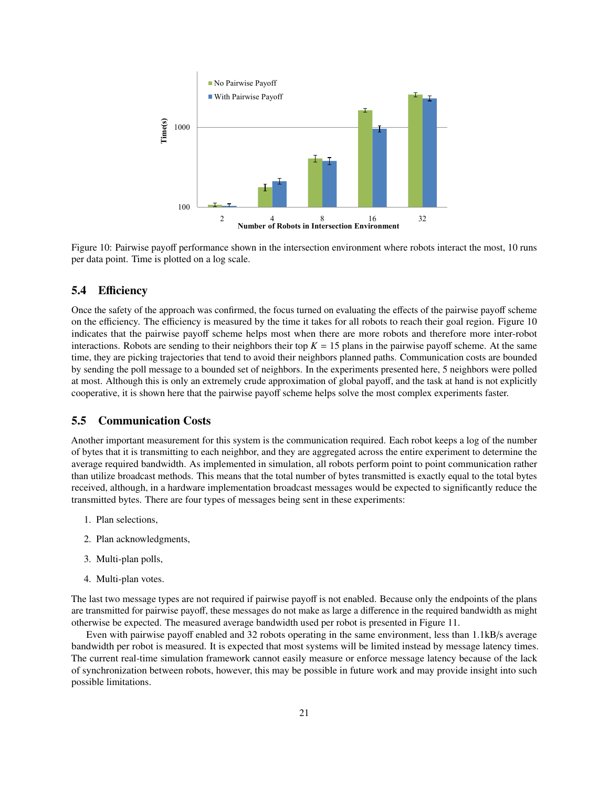

Figure 10: Pairwise payoff performance shown in the intersection environment where robots interact the most, 10 runs per data point. Time is plotted on a log scale.

## 5.4 Efficiency

Once the safety of the approach was confirmed, the focus turned on evaluating the effects of the pairwise payoff scheme on the efficiency. The efficiency is measured by the time it takes for all robots to reach their goal region. Figure 10 indicates that the pairwise payoff scheme helps most when there are more robots and therefore more inter-robot interactions. Robots are sending to their neighbors their top  $K = 15$  plans in the pairwise payoff scheme. At the same time, they are picking trajectories that tend to avoid their neighbors planned paths. Communication costs are bounded by sending the poll message to a bounded set of neighbors. In the experiments presented here, 5 neighbors were polled at most. Although this is only an extremely crude approximation of global payoff, and the task at hand is not explicitly cooperative, it is shown here that the pairwise payoff scheme helps solve the most complex experiments faster.

## 5.5 Communication Costs

Another important measurement for this system is the communication required. Each robot keeps a log of the number of bytes that it is transmitting to each neighbor, and they are aggregated across the entire experiment to determine the average required bandwidth. As implemented in simulation, all robots perform point to point communication rather than utilize broadcast methods. This means that the total number of bytes transmitted is exactly equal to the total bytes received, although, in a hardware implementation broadcast messages would be expected to significantly reduce the transmitted bytes. There are four types of messages being sent in these experiments:

- 1. Plan selections,
- 2. Plan acknowledgments,
- 3. Multi-plan polls,
- 4. Multi-plan votes.

The last two message types are not required if pairwise payoff is not enabled. Because only the endpoints of the plans are transmitted for pairwise payoff, these messages do not make as large a difference in the required bandwidth as might otherwise be expected. The measured average bandwidth used per robot is presented in Figure 11.

Even with pairwise payoff enabled and 32 robots operating in the same environment, less than 1.1kB/s average bandwidth per robot is measured. It is expected that most systems will be limited instead by message latency times. The current real-time simulation framework cannot easily measure or enforce message latency because of the lack of synchronization between robots, however, this may be possible in future work and may provide insight into such possible limitations.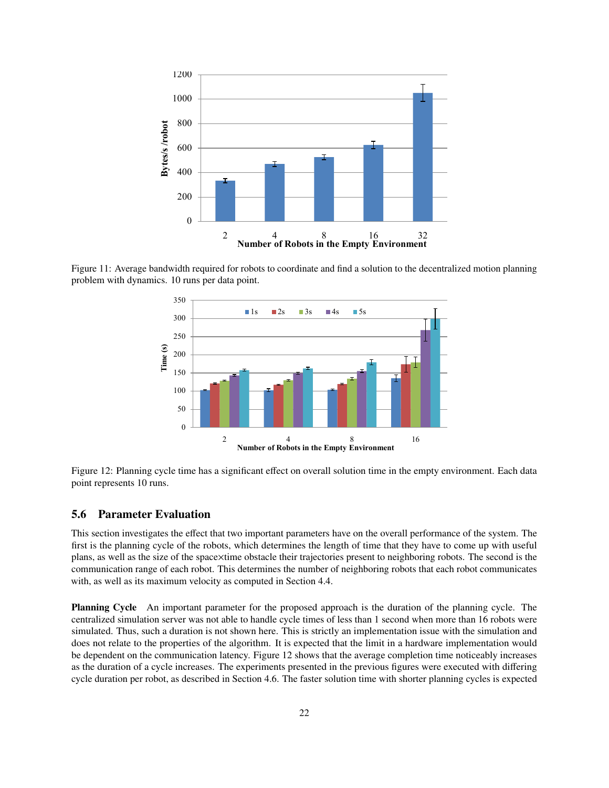

Figure 11: Average bandwidth required for robots to coordinate and find a solution to the decentralized motion planning problem with dynamics. 10 runs per data point.



Figure 12: Planning cycle time has a significant effect on overall solution time in the empty environment. Each data point represents 10 runs.

## 5.6 Parameter Evaluation

This section investigates the effect that two important parameters have on the overall performance of the system. The first is the planning cycle of the robots, which determines the length of time that they have to come up with useful plans, as well as the size of the space×time obstacle their trajectories present to neighboring robots. The second is the communication range of each robot. This determines the number of neighboring robots that each robot communicates with, as well as its maximum velocity as computed in Section 4.4.

Planning Cycle An important parameter for the proposed approach is the duration of the planning cycle. The centralized simulation server was not able to handle cycle times of less than 1 second when more than 16 robots were simulated. Thus, such a duration is not shown here. This is strictly an implementation issue with the simulation and does not relate to the properties of the algorithm. It is expected that the limit in a hardware implementation would be dependent on the communication latency. Figure 12 shows that the average completion time noticeably increases as the duration of a cycle increases. The experiments presented in the previous figures were executed with differing cycle duration per robot, as described in Section 4.6. The faster solution time with shorter planning cycles is expected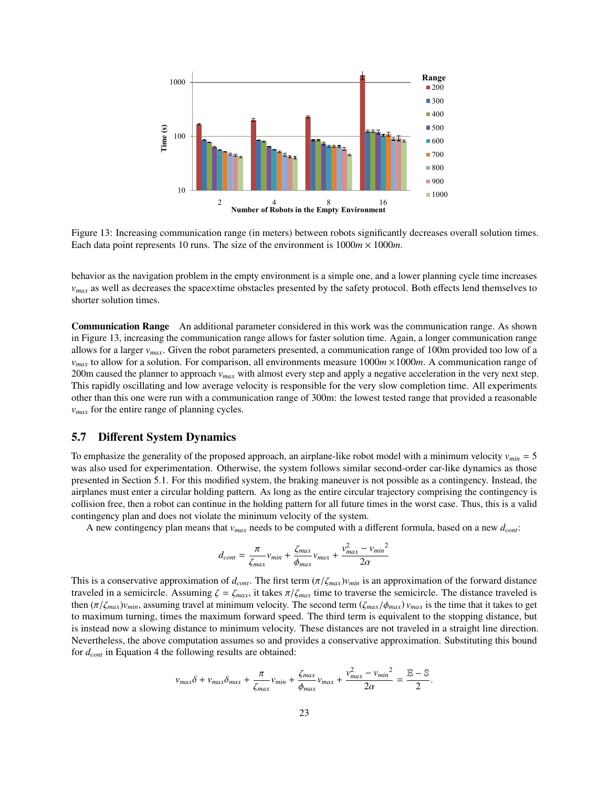

Figure 13: Increasing communication range (in meters) between robots significantly decreases overall solution times. Each data point represents 10 runs. The size of the environment is  $1000m \times 1000m$ .

behavior as the navigation problem in the empty environment is a simple one, and a lower planning cycle time increases *vmax* as well as decreases the space×time obstacles presented by the safety protocol. Both effects lend themselves to shorter solution times.

Communication Range An additional parameter considered in this work was the communication range. As shown in Figure 13, increasing the communication range allows for faster solution time. Again, a longer communication range allows for a larger *vmax*. Given the robot parameters presented, a communication range of 100m provided too low of a *vmax* to allow for a solution. For comparison, all environments measure 1000*m* ×1000*m*. A communication range of 200m caused the planner to approach *vmax* with almost every step and apply a negative acceleration in the very next step. This rapidly oscillating and low average velocity is responsible for the very slow completion time. All experiments other than this one were run with a communication range of 300m: the lowest tested range that provided a reasonable *vmax* for the entire range of planning cycles.

## 5.7 Different System Dynamics

To emphasize the generality of the proposed approach, an airplane-like robot model with a minimum velocity  $v_{min} = 5$ was also used for experimentation. Otherwise, the system follows similar second-order car-like dynamics as those presented in Section 5.1. For this modified system, the braking maneuver is not possible as a contingency. Instead, the airplanes must enter a circular holding pattern. As long as the entire circular trajectory comprising the contingency is collision free, then a robot can continue in the holding pattern for all future times in the worst case. Thus, this is a valid contingency plan and does not violate the minimum velocity of the system.

A new contingency plan means that *vmax* needs to be computed with a different formula, based on a new *dcont*:

$$
d_{cont} = \frac{\pi}{\zeta_{max}} v_{min} + \frac{\zeta_{max}}{\phi_{max}} v_{max} + \frac{v_{max}^2 - v_{min}^2}{2\alpha}
$$

This is a conservative approximation of  $d_{cont}$ . The first term  $(\pi/\zeta_{max})v_{min}$  is an approximation of the forward distance traveled in a semicircle. Assuming  $\zeta = \zeta_{max}$ , it takes  $\pi/\zeta_{max}$  time to traverse the semicircle. The distance traveled is then  $(\pi/\zeta_{max})v_{min}$ , assuming travel at minimum velocity. The second term  $(\zeta_{max}/\phi_{max})v_{max}$  is the time that it takes to get to maximum turning, times the maximum forward speed. The third term is equivalent to the stopping distance, but is instead now a slowing distance to minimum velocity. These distances are not traveled in a straight line direction. Nevertheless, the above computation assumes so and provides a conservative approximation. Substituting this bound for *dcont* in Equation 4 the following results are obtained:

$$
v_{max}\delta + v_{max}\delta_{max} + \frac{\pi}{\zeta_{max}}v_{min} + \frac{\zeta_{max}}{\phi_{max}}v_{max} + \frac{v_{max}^2 - v_{min}^2}{2\alpha} = \frac{\mathbb{E} - \mathbb{S}}{2}.
$$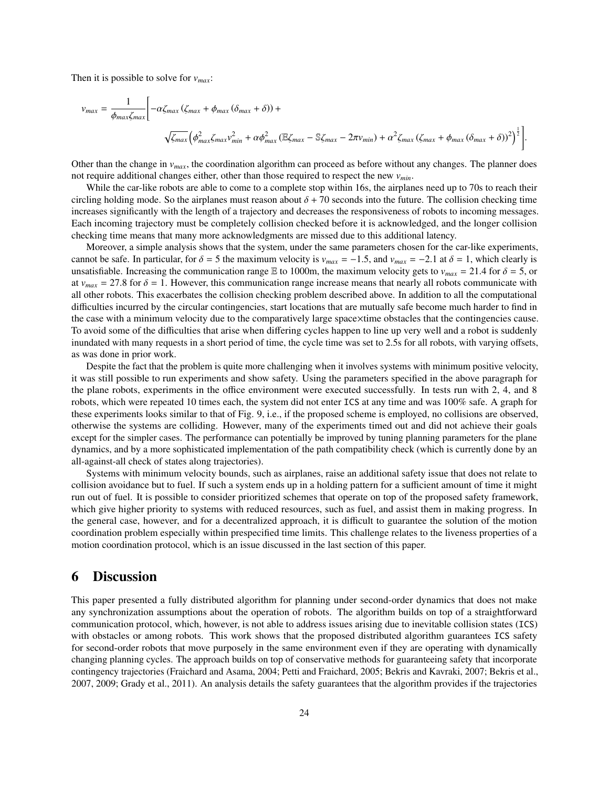Then it is possible to solve for *vmax*:

$$
v_{max} = \frac{1}{\phi_{max} \zeta_{max}} \left[ -\alpha \zeta_{max} (\zeta_{max} + \phi_{max} (\delta_{max} + \delta)) + \sqrt{\zeta_{max}} (\phi_{max}^2 \zeta_{max} v_{min}^2 + \alpha \phi_{max}^2 (\mathbb{E} \zeta_{max} - \mathbb{S} \zeta_{max} - 2\pi v_{min}) + \alpha^2 \zeta_{max} (\zeta_{max} + \phi_{max} (\delta_{max} + \delta))^{2} \right] \cdot
$$

Other than the change in *vmax*, the coordination algorithm can proceed as before without any changes. The planner does not require additional changes either, other than those required to respect the new *vmin*.

While the car-like robots are able to come to a complete stop within 16s, the airplanes need up to 70s to reach their circling holding mode. So the airplanes must reason about  $\delta + 70$  seconds into the future. The collision checking time increases significantly with the length of a trajectory and decreases the responsiveness of robots to incoming messages. Each incoming trajectory must be completely collision checked before it is acknowledged, and the longer collision checking time means that many more acknowledgments are missed due to this additional latency.

Moreover, a simple analysis shows that the system, under the same parameters chosen for the car-like experiments, cannot be safe. In particular, for  $\delta = 5$  the maximum velocity is  $v_{max} = -1.5$ , and  $v_{max} = -2.1$  at  $\delta = 1$ , which clearly is unsatisfiable. Increasing the communication range E to 1000m, the maximum velocity gets to  $v_{max} = 21.4$  for  $\delta = 5$ , or at  $v_{max} = 27.8$  for  $\delta = 1$ . However, this communication range increase means that nearly all robots communicate with all other robots. This exacerbates the collision checking problem described above. In addition to all the computational difficulties incurred by the circular contingencies, start locations that are mutually safe become much harder to find in the case with a minimum velocity due to the comparatively large space×time obstacles that the contingencies cause. To avoid some of the difficulties that arise when differing cycles happen to line up very well and a robot is suddenly inundated with many requests in a short period of time, the cycle time was set to 2.5s for all robots, with varying offsets, as was done in prior work.

Despite the fact that the problem is quite more challenging when it involves systems with minimum positive velocity, it was still possible to run experiments and show safety. Using the parameters specified in the above paragraph for the plane robots, experiments in the office environment were executed successfully. In tests run with 2, 4, and 8 robots, which were repeated 10 times each, the system did not enter ICS at any time and was 100% safe. A graph for these experiments looks similar to that of Fig. 9, i.e., if the proposed scheme is employed, no collisions are observed, otherwise the systems are colliding. However, many of the experiments timed out and did not achieve their goals except for the simpler cases. The performance can potentially be improved by tuning planning parameters for the plane dynamics, and by a more sophisticated implementation of the path compatibility check (which is currently done by an all-against-all check of states along trajectories).

Systems with minimum velocity bounds, such as airplanes, raise an additional safety issue that does not relate to collision avoidance but to fuel. If such a system ends up in a holding pattern for a sufficient amount of time it might run out of fuel. It is possible to consider prioritized schemes that operate on top of the proposed safety framework, which give higher priority to systems with reduced resources, such as fuel, and assist them in making progress. In the general case, however, and for a decentralized approach, it is difficult to guarantee the solution of the motion coordination problem especially within prespecified time limits. This challenge relates to the liveness properties of a motion coordination protocol, which is an issue discussed in the last section of this paper.

# 6 Discussion

This paper presented a fully distributed algorithm for planning under second-order dynamics that does not make any synchronization assumptions about the operation of robots. The algorithm builds on top of a straightforward communication protocol, which, however, is not able to address issues arising due to inevitable collision states (ICS) with obstacles or among robots. This work shows that the proposed distributed algorithm guarantees ICS safety for second-order robots that move purposely in the same environment even if they are operating with dynamically changing planning cycles. The approach builds on top of conservative methods for guaranteeing safety that incorporate contingency trajectories (Fraichard and Asama, 2004; Petti and Fraichard, 2005; Bekris and Kavraki, 2007; Bekris et al., 2007, 2009; Grady et al., 2011). An analysis details the safety guarantees that the algorithm provides if the trajectories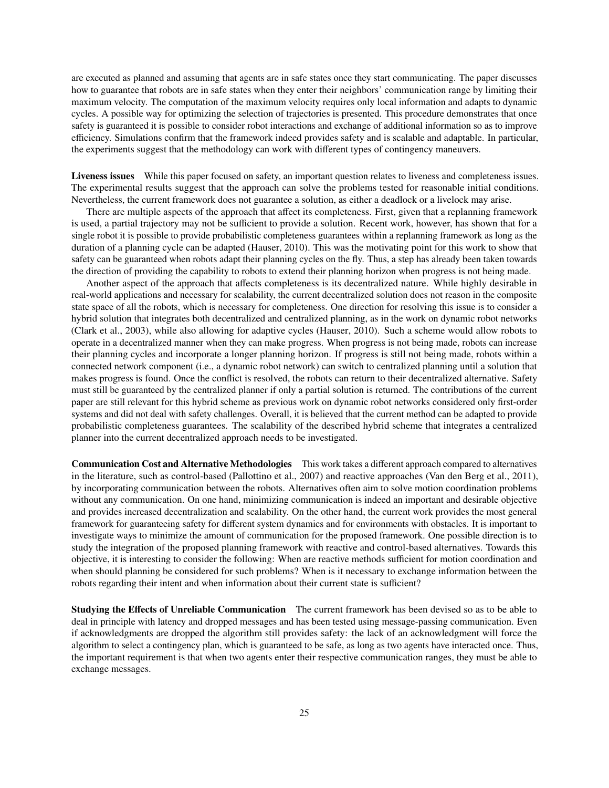are executed as planned and assuming that agents are in safe states once they start communicating. The paper discusses how to guarantee that robots are in safe states when they enter their neighbors' communication range by limiting their maximum velocity. The computation of the maximum velocity requires only local information and adapts to dynamic cycles. A possible way for optimizing the selection of trajectories is presented. This procedure demonstrates that once safety is guaranteed it is possible to consider robot interactions and exchange of additional information so as to improve efficiency. Simulations confirm that the framework indeed provides safety and is scalable and adaptable. In particular, the experiments suggest that the methodology can work with different types of contingency maneuvers.

Liveness issues While this paper focused on safety, an important question relates to liveness and completeness issues. The experimental results suggest that the approach can solve the problems tested for reasonable initial conditions. Nevertheless, the current framework does not guarantee a solution, as either a deadlock or a livelock may arise.

There are multiple aspects of the approach that affect its completeness. First, given that a replanning framework is used, a partial trajectory may not be sufficient to provide a solution. Recent work, however, has shown that for a single robot it is possible to provide probabilistic completeness guarantees within a replanning framework as long as the duration of a planning cycle can be adapted (Hauser, 2010). This was the motivating point for this work to show that safety can be guaranteed when robots adapt their planning cycles on the fly. Thus, a step has already been taken towards the direction of providing the capability to robots to extend their planning horizon when progress is not being made.

Another aspect of the approach that affects completeness is its decentralized nature. While highly desirable in real-world applications and necessary for scalability, the current decentralized solution does not reason in the composite state space of all the robots, which is necessary for completeness. One direction for resolving this issue is to consider a hybrid solution that integrates both decentralized and centralized planning, as in the work on dynamic robot networks (Clark et al., 2003), while also allowing for adaptive cycles (Hauser, 2010). Such a scheme would allow robots to operate in a decentralized manner when they can make progress. When progress is not being made, robots can increase their planning cycles and incorporate a longer planning horizon. If progress is still not being made, robots within a connected network component (i.e., a dynamic robot network) can switch to centralized planning until a solution that makes progress is found. Once the conflict is resolved, the robots can return to their decentralized alternative. Safety must still be guaranteed by the centralized planner if only a partial solution is returned. The contributions of the current paper are still relevant for this hybrid scheme as previous work on dynamic robot networks considered only first-order systems and did not deal with safety challenges. Overall, it is believed that the current method can be adapted to provide probabilistic completeness guarantees. The scalability of the described hybrid scheme that integrates a centralized planner into the current decentralized approach needs to be investigated.

Communication Cost and Alternative Methodologies This work takes a different approach compared to alternatives in the literature, such as control-based (Pallottino et al., 2007) and reactive approaches (Van den Berg et al., 2011), by incorporating communication between the robots. Alternatives often aim to solve motion coordination problems without any communication. On one hand, minimizing communication is indeed an important and desirable objective and provides increased decentralization and scalability. On the other hand, the current work provides the most general framework for guaranteeing safety for different system dynamics and for environments with obstacles. It is important to investigate ways to minimize the amount of communication for the proposed framework. One possible direction is to study the integration of the proposed planning framework with reactive and control-based alternatives. Towards this objective, it is interesting to consider the following: When are reactive methods sufficient for motion coordination and when should planning be considered for such problems? When is it necessary to exchange information between the robots regarding their intent and when information about their current state is sufficient?

Studying the Effects of Unreliable Communication The current framework has been devised so as to be able to deal in principle with latency and dropped messages and has been tested using message-passing communication. Even if acknowledgments are dropped the algorithm still provides safety: the lack of an acknowledgment will force the algorithm to select a contingency plan, which is guaranteed to be safe, as long as two agents have interacted once. Thus, the important requirement is that when two agents enter their respective communication ranges, they must be able to exchange messages.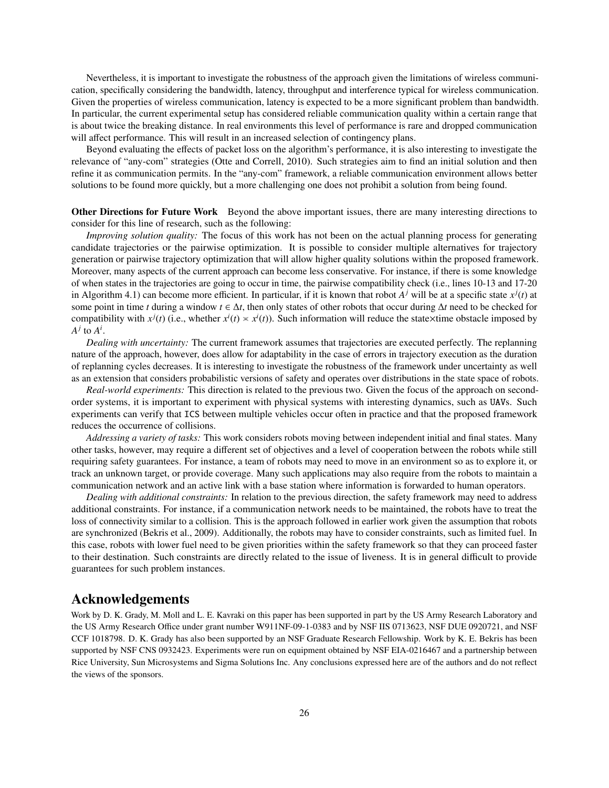Nevertheless, it is important to investigate the robustness of the approach given the limitations of wireless communication, specifically considering the bandwidth, latency, throughput and interference typical for wireless communication. Given the properties of wireless communication, latency is expected to be a more significant problem than bandwidth. In particular, the current experimental setup has considered reliable communication quality within a certain range that is about twice the breaking distance. In real environments this level of performance is rare and dropped communication will affect performance. This will result in an increased selection of contingency plans.

Beyond evaluating the effects of packet loss on the algorithm's performance, it is also interesting to investigate the relevance of "any-com" strategies (Otte and Correll, 2010). Such strategies aim to find an initial solution and then refine it as communication permits. In the "any-com" framework, a reliable communication environment allows better solutions to be found more quickly, but a more challenging one does not prohibit a solution from being found.

Other Directions for Future Work Beyond the above important issues, there are many interesting directions to consider for this line of research, such as the following:

*Improving solution quality:* The focus of this work has not been on the actual planning process for generating candidate trajectories or the pairwise optimization. It is possible to consider multiple alternatives for trajectory generation or pairwise trajectory optimization that will allow higher quality solutions within the proposed framework. Moreover, many aspects of the current approach can become less conservative. For instance, if there is some knowledge of when states in the trajectories are going to occur in time, the pairwise compatibility check (i.e., lines 10-13 and 17-20 in Algorithm 4.1) can become more efficient. In particular, if it is known that robot  $A<sup>j</sup>$  will be at a specific state  $x<sup>j</sup>(t)$  at some point in time *t* during a window *t* ∈ ∆*t*, then only states of other robots that occur during ∆*t* need to be checked for compatibility with  $x^j(t)$  (i.e., whether  $x^i(t) \times x^i(t)$ ). Such information will reduce the state×time obstacle imposed by  $A^j$  to  $A^i$ .

*Dealing with uncertainty:* The current framework assumes that trajectories are executed perfectly. The replanning nature of the approach, however, does allow for adaptability in the case of errors in trajectory execution as the duration of replanning cycles decreases. It is interesting to investigate the robustness of the framework under uncertainty as well as an extension that considers probabilistic versions of safety and operates over distributions in the state space of robots.

*Real-world experiments:* This direction is related to the previous two. Given the focus of the approach on secondorder systems, it is important to experiment with physical systems with interesting dynamics, such as UAVs. Such experiments can verify that ICS between multiple vehicles occur often in practice and that the proposed framework reduces the occurrence of collisions.

*Addressing a variety of tasks:* This work considers robots moving between independent initial and final states. Many other tasks, however, may require a different set of objectives and a level of cooperation between the robots while still requiring safety guarantees. For instance, a team of robots may need to move in an environment so as to explore it, or track an unknown target, or provide coverage. Many such applications may also require from the robots to maintain a communication network and an active link with a base station where information is forwarded to human operators.

*Dealing with additional constraints:* In relation to the previous direction, the safety framework may need to address additional constraints. For instance, if a communication network needs to be maintained, the robots have to treat the loss of connectivity similar to a collision. This is the approach followed in earlier work given the assumption that robots are synchronized (Bekris et al., 2009). Additionally, the robots may have to consider constraints, such as limited fuel. In this case, robots with lower fuel need to be given priorities within the safety framework so that they can proceed faster to their destination. Such constraints are directly related to the issue of liveness. It is in general difficult to provide guarantees for such problem instances.

# Acknowledgements

Work by D. K. Grady, M. Moll and L. E. Kavraki on this paper has been supported in part by the US Army Research Laboratory and the US Army Research Office under grant number W911NF-09-1-0383 and by NSF IIS 0713623, NSF DUE 0920721, and NSF CCF 1018798. D. K. Grady has also been supported by an NSF Graduate Research Fellowship. Work by K. E. Bekris has been supported by NSF CNS 0932423. Experiments were run on equipment obtained by NSF EIA-0216467 and a partnership between Rice University, Sun Microsystems and Sigma Solutions Inc. Any conclusions expressed here are of the authors and do not reflect the views of the sponsors.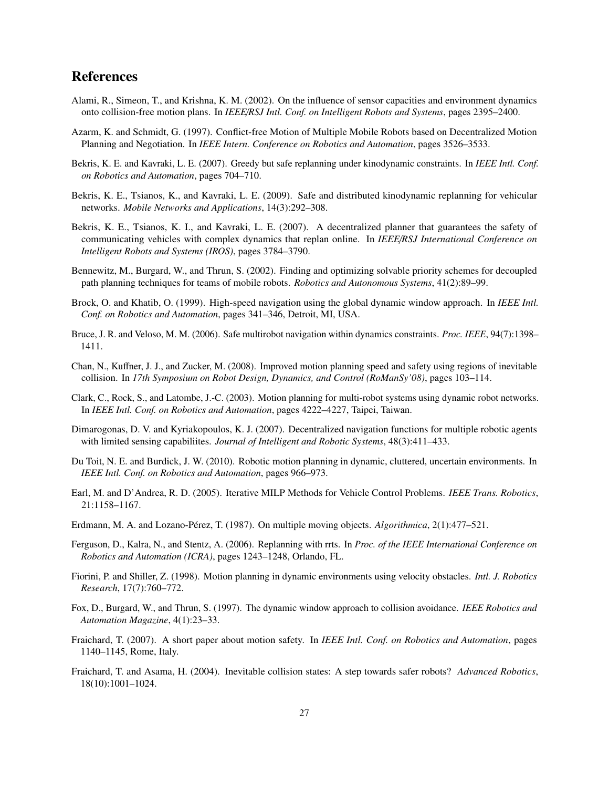# References

- Alami, R., Simeon, T., and Krishna, K. M. (2002). On the influence of sensor capacities and environment dynamics onto collision-free motion plans. In *IEEE*/*RSJ Intl. Conf. on Intelligent Robots and Systems*, pages 2395–2400.
- Azarm, K. and Schmidt, G. (1997). Conflict-free Motion of Multiple Mobile Robots based on Decentralized Motion Planning and Negotiation. In *IEEE Intern. Conference on Robotics and Automation*, pages 3526–3533.
- Bekris, K. E. and Kavraki, L. E. (2007). Greedy but safe replanning under kinodynamic constraints. In *IEEE Intl. Conf. on Robotics and Automation*, pages 704–710.
- Bekris, K. E., Tsianos, K., and Kavraki, L. E. (2009). Safe and distributed kinodynamic replanning for vehicular networks. *Mobile Networks and Applications*, 14(3):292–308.
- Bekris, K. E., Tsianos, K. I., and Kavraki, L. E. (2007). A decentralized planner that guarantees the safety of communicating vehicles with complex dynamics that replan online. In *IEEE*/*RSJ International Conference on Intelligent Robots and Systems (IROS)*, pages 3784–3790.
- Bennewitz, M., Burgard, W., and Thrun, S. (2002). Finding and optimizing solvable priority schemes for decoupled path planning techniques for teams of mobile robots. *Robotics and Autonomous Systems*, 41(2):89–99.
- Brock, O. and Khatib, O. (1999). High-speed navigation using the global dynamic window approach. In *IEEE Intl. Conf. on Robotics and Automation*, pages 341–346, Detroit, MI, USA.
- Bruce, J. R. and Veloso, M. M. (2006). Safe multirobot navigation within dynamics constraints. *Proc. IEEE*, 94(7):1398– 1411.
- Chan, N., Kuffner, J. J., and Zucker, M. (2008). Improved motion planning speed and safety using regions of inevitable collision. In *17th Symposium on Robot Design, Dynamics, and Control (RoManSy'08)*, pages 103–114.
- Clark, C., Rock, S., and Latombe, J.-C. (2003). Motion planning for multi-robot systems using dynamic robot networks. In *IEEE Intl. Conf. on Robotics and Automation*, pages 4222–4227, Taipei, Taiwan.
- Dimarogonas, D. V. and Kyriakopoulos, K. J. (2007). Decentralized navigation functions for multiple robotic agents with limited sensing capabiliites. *Journal of Intelligent and Robotic Systems*, 48(3):411–433.
- Du Toit, N. E. and Burdick, J. W. (2010). Robotic motion planning in dynamic, cluttered, uncertain environments. In *IEEE Intl. Conf. on Robotics and Automation*, pages 966–973.
- Earl, M. and D'Andrea, R. D. (2005). Iterative MILP Methods for Vehicle Control Problems. *IEEE Trans. Robotics*, 21:1158–1167.
- Erdmann, M. A. and Lozano-Pérez, T. (1987). On multiple moving objects. *Algorithmica*, 2(1):477–521.
- Ferguson, D., Kalra, N., and Stentz, A. (2006). Replanning with rrts. In *Proc. of the IEEE International Conference on Robotics and Automation (ICRA)*, pages 1243–1248, Orlando, FL.
- Fiorini, P. and Shiller, Z. (1998). Motion planning in dynamic environments using velocity obstacles. *Intl. J. Robotics Research*, 17(7):760–772.
- Fox, D., Burgard, W., and Thrun, S. (1997). The dynamic window approach to collision avoidance. *IEEE Robotics and Automation Magazine*, 4(1):23–33.
- Fraichard, T. (2007). A short paper about motion safety. In *IEEE Intl. Conf. on Robotics and Automation*, pages 1140–1145, Rome, Italy.
- Fraichard, T. and Asama, H. (2004). Inevitable collision states: A step towards safer robots? *Advanced Robotics*, 18(10):1001–1024.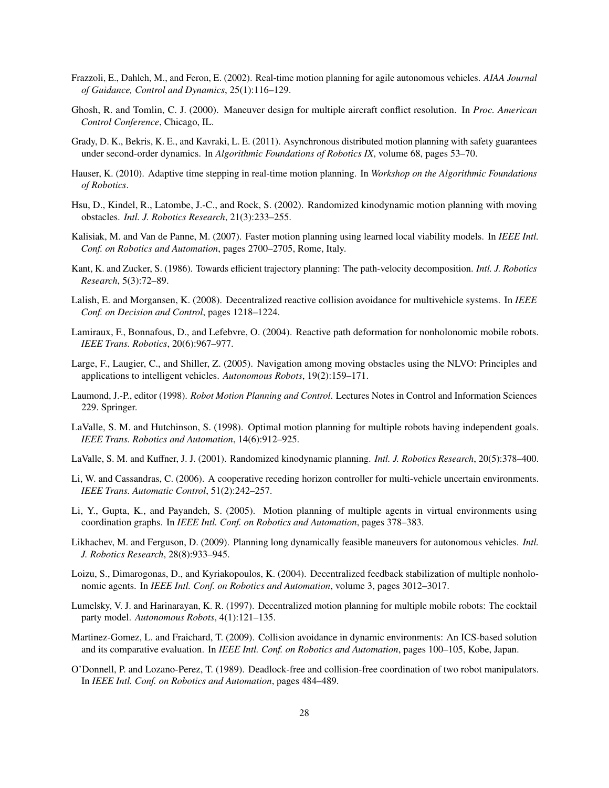- Frazzoli, E., Dahleh, M., and Feron, E. (2002). Real-time motion planning for agile autonomous vehicles. *AIAA Journal of Guidance, Control and Dynamics*, 25(1):116–129.
- Ghosh, R. and Tomlin, C. J. (2000). Maneuver design for multiple aircraft conflict resolution. In *Proc. American Control Conference*, Chicago, IL.
- Grady, D. K., Bekris, K. E., and Kavraki, L. E. (2011). Asynchronous distributed motion planning with safety guarantees under second-order dynamics. In *Algorithmic Foundations of Robotics IX*, volume 68, pages 53–70.
- Hauser, K. (2010). Adaptive time stepping in real-time motion planning. In *Workshop on the Algorithmic Foundations of Robotics*.
- Hsu, D., Kindel, R., Latombe, J.-C., and Rock, S. (2002). Randomized kinodynamic motion planning with moving obstacles. *Intl. J. Robotics Research*, 21(3):233–255.
- Kalisiak, M. and Van de Panne, M. (2007). Faster motion planning using learned local viability models. In *IEEE Intl. Conf. on Robotics and Automation*, pages 2700–2705, Rome, Italy.
- Kant, K. and Zucker, S. (1986). Towards efficient trajectory planning: The path-velocity decomposition. *Intl. J. Robotics Research*, 5(3):72–89.
- Lalish, E. and Morgansen, K. (2008). Decentralized reactive collision avoidance for multivehicle systems. In *IEEE Conf. on Decision and Control*, pages 1218–1224.
- Lamiraux, F., Bonnafous, D., and Lefebvre, O. (2004). Reactive path deformation for nonholonomic mobile robots. *IEEE Trans. Robotics*, 20(6):967–977.
- Large, F., Laugier, C., and Shiller, Z. (2005). Navigation among moving obstacles using the NLVO: Principles and applications to intelligent vehicles. *Autonomous Robots*, 19(2):159–171.
- Laumond, J.-P., editor (1998). *Robot Motion Planning and Control*. Lectures Notes in Control and Information Sciences 229. Springer.
- LaValle, S. M. and Hutchinson, S. (1998). Optimal motion planning for multiple robots having independent goals. *IEEE Trans. Robotics and Automation*, 14(6):912–925.
- LaValle, S. M. and Kuffner, J. J. (2001). Randomized kinodynamic planning. *Intl. J. Robotics Research*, 20(5):378–400.
- Li, W. and Cassandras, C. (2006). A cooperative receding horizon controller for multi-vehicle uncertain environments. *IEEE Trans. Automatic Control*, 51(2):242–257.
- Li, Y., Gupta, K., and Payandeh, S. (2005). Motion planning of multiple agents in virtual environments using coordination graphs. In *IEEE Intl. Conf. on Robotics and Automation*, pages 378–383.
- Likhachev, M. and Ferguson, D. (2009). Planning long dynamically feasible maneuvers for autonomous vehicles. *Intl. J. Robotics Research*, 28(8):933–945.
- Loizu, S., Dimarogonas, D., and Kyriakopoulos, K. (2004). Decentralized feedback stabilization of multiple nonholonomic agents. In *IEEE Intl. Conf. on Robotics and Automation*, volume 3, pages 3012–3017.
- Lumelsky, V. J. and Harinarayan, K. R. (1997). Decentralized motion planning for multiple mobile robots: The cocktail party model. *Autonomous Robots*, 4(1):121–135.
- Martinez-Gomez, L. and Fraichard, T. (2009). Collision avoidance in dynamic environments: An ICS-based solution and its comparative evaluation. In *IEEE Intl. Conf. on Robotics and Automation*, pages 100–105, Kobe, Japan.
- O'Donnell, P. and Lozano-Perez, T. (1989). Deadlock-free and collision-free coordination of two robot manipulators. In *IEEE Intl. Conf. on Robotics and Automation*, pages 484–489.